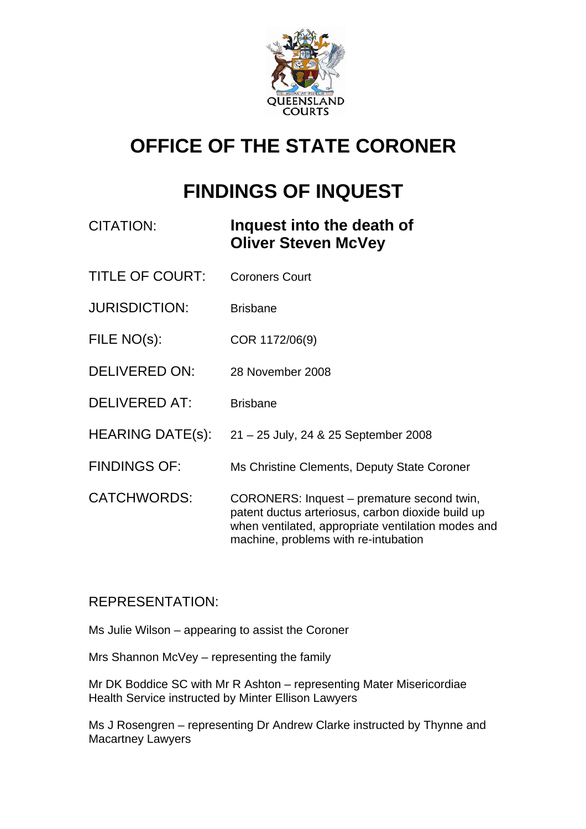

# **OFFICE OF THE STATE CORONER**

## **FINDINGS OF INQUEST**

| CITATION:              | Inquest into the death of<br><b>Oliver Steven McVey</b>                                                                                                                                       |
|------------------------|-----------------------------------------------------------------------------------------------------------------------------------------------------------------------------------------------|
| <b>TITLE OF COURT:</b> | <b>Coroners Court</b>                                                                                                                                                                         |
| <b>JURISDICTION:</b>   | <b>Brisbane</b>                                                                                                                                                                               |
| FILE NO(s):            | COR 1172/06(9)                                                                                                                                                                                |
| <b>DELIVERED ON:</b>   | 28 November 2008                                                                                                                                                                              |
| <b>DELIVERED AT:</b>   | <b>Brisbane</b>                                                                                                                                                                               |
| HEARING DATE(s):       | 21 – 25 July, 24 & 25 September 2008                                                                                                                                                          |
| <b>FINDINGS OF:</b>    | Ms Christine Clements, Deputy State Coroner                                                                                                                                                   |
| <b>CATCHWORDS:</b>     | CORONERS: Inquest – premature second twin,<br>patent ductus arteriosus, carbon dioxide build up<br>when ventilated, appropriate ventilation modes and<br>machine, problems with re-intubation |

## REPRESENTATION:

Ms Julie Wilson – appearing to assist the Coroner

Mrs Shannon McVey – representing the family

Mr DK Boddice SC with Mr R Ashton – representing Mater Misericordiae Health Service instructed by Minter Ellison Lawyers

Ms J Rosengren – representing Dr Andrew Clarke instructed by Thynne and Macartney Lawyers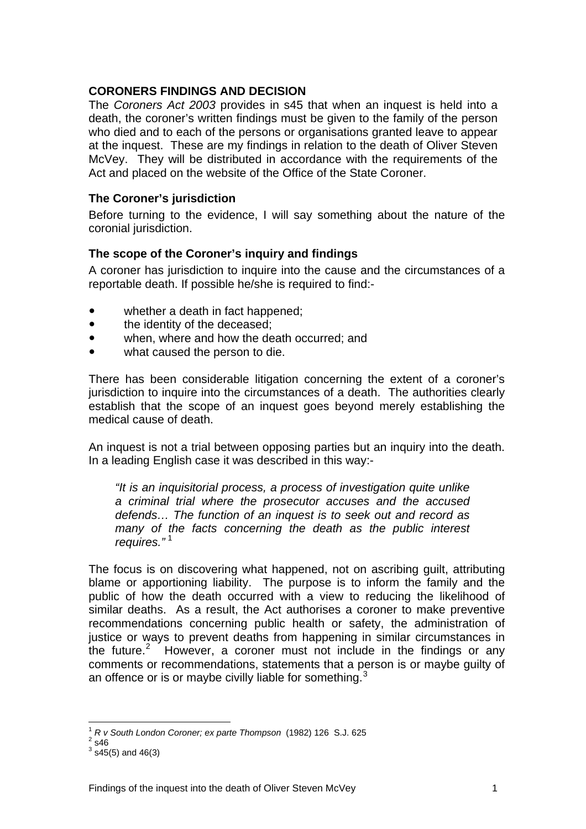## **CORONERS FINDINGS AND DECISION**

The *Coroners Act 2003* provides in s45 that when an inquest is held into a death, the coroner's written findings must be given to the family of the person who died and to each of the persons or organisations granted leave to appear at the inquest. These are my findings in relation to the death of Oliver Steven McVey. They will be distributed in accordance with the requirements of the Act and placed on the website of the Office of the State Coroner.

## **The Coroner's jurisdiction**

Before turning to the evidence, I will say something about the nature of the coronial jurisdiction.

## **The scope of the Coroner's inquiry and findings**

A coroner has jurisdiction to inquire into the cause and the circumstances of a reportable death. If possible he/she is required to find:-

- whether a death in fact happened;
- the identity of the deceased:
- when, where and how the death occurred; and
- what caused the person to die.

There has been considerable litigation concerning the extent of a coroner's jurisdiction to inquire into the circumstances of a death. The authorities clearly establish that the scope of an inquest goes beyond merely establishing the medical cause of death.

An inquest is not a trial between opposing parties but an inquiry into the death. In a leading English case it was described in this way:-

*"It is an inquisitorial process, a process of investigation quite unlike a criminal trial where the prosecutor accuses and the accused defends… The function of an inquest is to seek out and record as many of the facts concerning the death as the public interest requires."* [1](#page-1-0)

The focus is on discovering what happened, not on ascribing guilt, attributing blame or apportioning liability. The purpose is to inform the family and the public of how the death occurred with a view to reducing the likelihood of similar deaths. As a result, the Act authorises a coroner to make preventive recommendations concerning public health or safety, the administration of justice or ways to prevent deaths from happening in similar circumstances in the future.<sup>[2](#page-1-1)</sup> However, a coroner must not include in the findings or any comments or recommendations, statements that a person is or maybe guilty of an offence or is or maybe civilly liable for something. $3$ 

<sup>1</sup> *R v South London Coroner; ex parte Thompson* (1982) 126 S.J. 625 2

<span id="page-1-2"></span><span id="page-1-1"></span><span id="page-1-0"></span> $2\overline{\phantom{0}}$ s46

 $^3$  s45(5) and 46(3)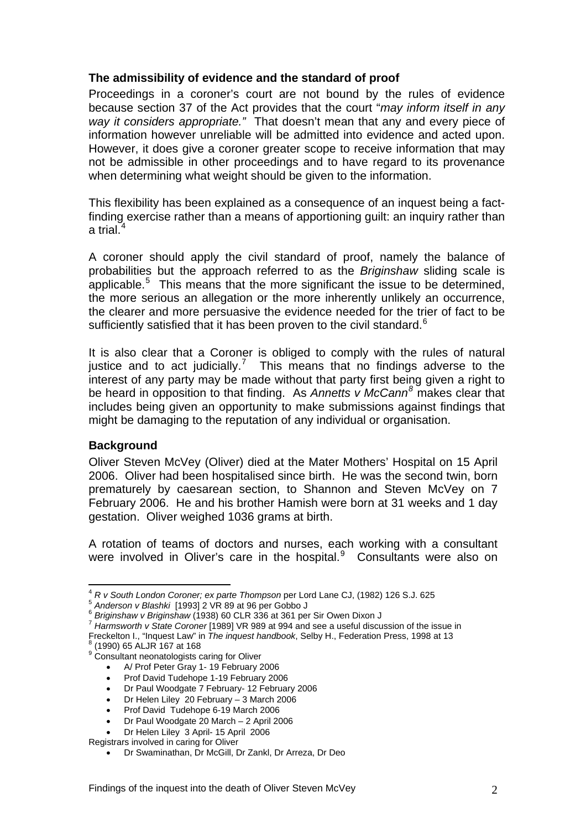## **The admissibility of evidence and the standard of proof**

Proceedings in a coroner's court are not bound by the rules of evidence because section 37 of the Act provides that the court "*may inform itself in any way it considers appropriate."* That doesn't mean that any and every piece of information however unreliable will be admitted into evidence and acted upon. However, it does give a coroner greater scope to receive information that may not be admissible in other proceedings and to have regard to its provenance when determining what weight should be given to the information.

This flexibility has been explained as a consequence of an inquest being a factfinding exercise rather than a means of apportioning guilt: an inquiry rather than a trial. $^{\text{4}}$  $^{\text{4}}$  $^{\text{4}}$ 

A coroner should apply the civil standard of proof, namely the balance of probabilities but the approach referred to as the *Briginshaw* sliding scale is applicable.<sup>[5](#page-2-1)</sup> This means that the more significant the issue to be determined, the more serious an allegation or the more inherently unlikely an occurrence, the clearer and more persuasive the evidence needed for the trier of fact to be sufficiently satisfied that it has been proven to the civil standard. $6$ 

It is also clear that a Coroner is obliged to comply with the rules of natural justice and to act judicially.<sup>[7](#page-2-3)</sup> This means that no findings adverse to the interest of any party may be made without that party first being given a right to be heard in opposition to that finding. As *Annetts v McCann[8](#page-2-4)* makes clear that includes being given an opportunity to make submissions against findings that might be damaging to the reputation of any individual or organisation.

## **Background**

Oliver Steven McVey (Oliver) died at the Mater Mothers' Hospital on 15 April 2006. Oliver had been hospitalised since birth. He was the second twin, born prematurely by caesarean section, to Shannon and Steven McVey on 7 February 2006. He and his brother Hamish were born at 31 weeks and 1 day gestation. Oliver weighed 1036 grams at birth.

A rotation of teams of doctors and nurses, each working with a consultant were involved in Oliver's care in the hospital. $9$  Consultants were also on

- Dr Helen Liley 20 February 3 March 2006
- Prof David Tudehope 6-19 March 2006
- Dr Paul Woodgate 20 March 2 April 2006

<span id="page-2-0"></span> $\overline{a}$ <sup>4</sup> *R v South London Coroner; ex parte Thompson* per Lord Lane CJ, (1982) 126 S.J. 625<br><sup>5</sup> *Anderson v Blashki* [1993] 2 VR 89 at 96 per Gobbo J<br><sup>6</sup> *Briginshaw v Briginshaw* (1938) 60 CLR 336 at 361 per Sir Owen Dixon J

<span id="page-2-1"></span>

<span id="page-2-3"></span><span id="page-2-2"></span><sup>&</sup>lt;sup>7</sup> Harmsworth v State Coroner [1989] VR 989 at 994 and see a useful discussion of the issue in

Freckelton I., "Inquest Law" in *The inquest handbook*, Selby H., Federation Press, 1998 at 13 8

<span id="page-2-5"></span><span id="page-2-4"></span>

 $^{\circ}$  (1990) 65 ALJR 167 at 168<br> $^{\circ}$  Consultant neonatologists caring for Oliver

<sup>•</sup> A/ Prof Peter Gray 1- 19 February 2006

<sup>•</sup> Prof David Tudehope 1-19 February 2006

<sup>•</sup> Dr Paul Woodgate 7 February- 12 February 2006

<sup>•</sup> Dr Helen Liley 3 April- 15 April 2006

Registrars involved in caring for Oliver

<sup>•</sup> Dr Swaminathan, Dr McGill, Dr Zankl, Dr Arreza, Dr Deo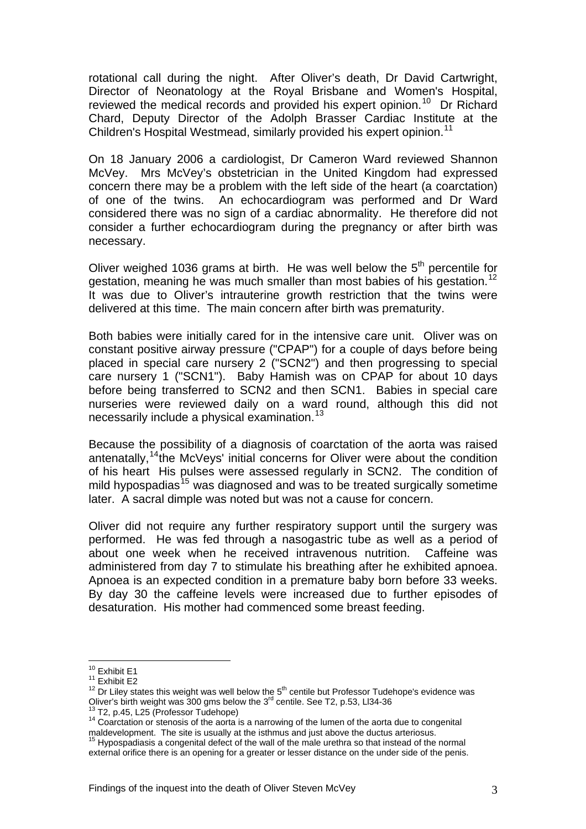rotational call during the night. After Oliver's death, Dr David Cartwright, Director of Neonatology at the Royal Brisbane and Women's Hospital, reviewed the medical records and provided his expert opinion.<sup>[10](#page-3-0)</sup> Dr Richard Chard, Deputy Director of the Adolph Brasser Cardiac Institute at the Children's Hospital Westmead, similarly provided his expert opinion.<sup>[11](#page-3-1)</sup>

On 18 January 2006 a cardiologist, Dr Cameron Ward reviewed Shannon McVey. Mrs McVey's obstetrician in the United Kingdom had expressed concern there may be a problem with the left side of the heart (a coarctation) of one of the twins. An echocardiogram was performed and Dr Ward considered there was no sign of a cardiac abnormality. He therefore did not consider a further echocardiogram during the pregnancy or after birth was necessary.

Oliver weighed 1036 grams at birth. He was well below the  $5<sup>th</sup>$  percentile for gestation, meaning he was much smaller than most babies of his gestation.<sup>[12](#page-3-2)</sup> It was due to Oliver's intrauterine growth restriction that the twins were delivered at this time. The main concern after birth was prematurity.

Both babies were initially cared for in the intensive care unit. Oliver was on constant positive airway pressure ("CPAP") for a couple of days before being placed in special care nursery 2 ("SCN2") and then progressing to special care nursery 1 ("SCN1"). Baby Hamish was on CPAP for about 10 days before being transferred to SCN2 and then SCN1. Babies in special care nurseries were reviewed daily on a ward round, although this did not necessarily include a physical examination.<sup>[13](#page-3-3)</sup>

Because the possibility of a diagnosis of coarctation of the aorta was raised antenatally,  $14$ <sup>the</sup> McVeys' initial concerns for Oliver were about the condition of his heart His pulses were assessed regularly in SCN2. The condition of mild hypospadias<sup>[15](#page-3-5)</sup> was diagnosed and was to be treated surgically sometime later. A sacral dimple was noted but was not a cause for concern.

Oliver did not require any further respiratory support until the surgery was performed. He was fed through a nasogastric tube as well as a period of about one week when he received intravenous nutrition. Caffeine was administered from day 7 to stimulate his breathing after he exhibited apnoea. Apnoea is an expected condition in a premature baby born before 33 weeks. By day 30 the caffeine levels were increased due to further episodes of desaturation. His mother had commenced some breast feeding.

<span id="page-3-1"></span><span id="page-3-0"></span> $10$  Exhibit E1

<span id="page-3-2"></span>

<sup>&</sup>lt;sup>10</sup> Exhibit E1<br><sup>11</sup> Exhibit E2<br><sup>12</sup> Dr Liley states this weight was well below the 5<sup>th</sup> centile but Professor Tudehope's evidence was Oliver's birth weight was 300 gms below the 3<sup>rd</sup> centile. See T2, p.53, Ll34-36<br><sup>13</sup> T2, p.45, L25 (Professor Tudehope)<br><sup>14</sup> Coarctation or stenosis of the aorta is a narrowing of the lumen of the aorta due to congenital

<span id="page-3-4"></span><span id="page-3-3"></span><sup>&</sup>lt;sup>14</sup> Coarctation or stenosis of the aorta is a narrowing of the lumen of the aorta due to congenital maldevelopment. The site is usually at the isthmus and just above the ductus arteriosus.<br><sup>15</sup> Hypospadiasis a congenital

<span id="page-3-5"></span>external orifice there is an opening for a greater or lesser distance on the under side of the penis.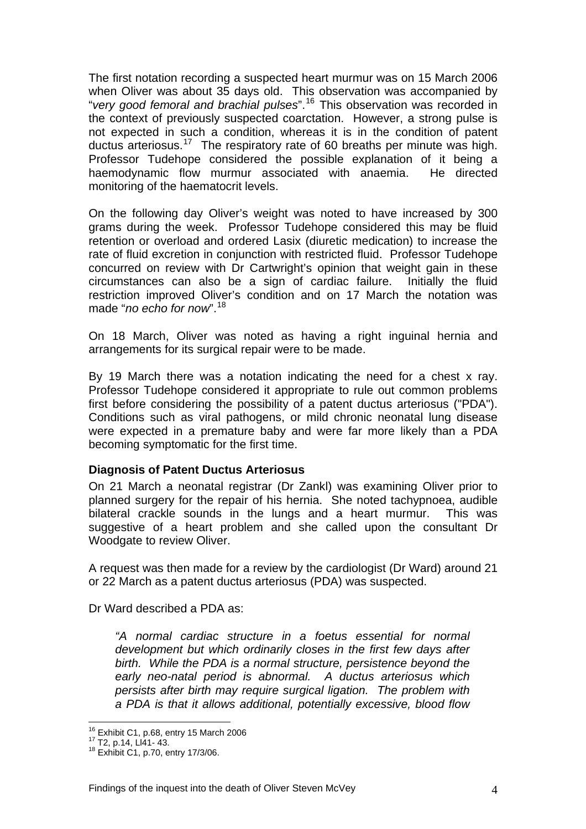The first notation recording a suspected heart murmur was on 15 March 2006 when Oliver was about 35 days old. This observation was accompanied by "*very good femoral and brachial pulses*".[16](#page-4-0) This observation was recorded in the context of previously suspected coarctation. However, a strong pulse is not expected in such a condition, whereas it is in the condition of patent ductus arteriosus.<sup>[17](#page-4-1)</sup> The respiratory rate of 60 breaths per minute was high. Professor Tudehope considered the possible explanation of it being a haemodynamic flow murmur associated with anaemia. He directed monitoring of the haematocrit levels.

On the following day Oliver's weight was noted to have increased by 300 grams during the week. Professor Tudehope considered this may be fluid retention or overload and ordered Lasix (diuretic medication) to increase the rate of fluid excretion in conjunction with restricted fluid. Professor Tudehope concurred on review with Dr Cartwright's opinion that weight gain in these circumstances can also be a sign of cardiac failure. Initially the fluid restriction improved Oliver's condition and on 17 March the notation was made "*no echo for now*".[18](#page-4-2)

On 18 March, Oliver was noted as having a right inguinal hernia and arrangements for its surgical repair were to be made.

By 19 March there was a notation indicating the need for a chest x ray. Professor Tudehope considered it appropriate to rule out common problems first before considering the possibility of a patent ductus arteriosus ("PDA"). Conditions such as viral pathogens, or mild chronic neonatal lung disease were expected in a premature baby and were far more likely than a PDA becoming symptomatic for the first time.

## **Diagnosis of Patent Ductus Arteriosus**

On 21 March a neonatal registrar (Dr Zankl) was examining Oliver prior to planned surgery for the repair of his hernia. She noted tachypnoea, audible bilateral crackle sounds in the lungs and a heart murmur. This was suggestive of a heart problem and she called upon the consultant Dr Woodgate to review Oliver.

A request was then made for a review by the cardiologist (Dr Ward) around 21 or 22 March as a patent ductus arteriosus (PDA) was suspected.

Dr Ward described a PDA as:

*"A normal cardiac structure in a foetus essential for normal development but which ordinarily closes in the first few days after birth. While the PDA is a normal structure, persistence beyond the early neo-natal period is abnormal. A ductus arteriosus which persists after birth may require surgical ligation. The problem with a PDA is that it allows additional, potentially excessive, blood flow* 

<span id="page-4-0"></span><sup>&</sup>lt;sup>16</sup> Exhibit C1, p.68, entry 15 March 2006<br><sup>17</sup> T2, p.14, Ll41- 43.<br><sup>18</sup> Exhibit C1, p.70, entry 17/3/06.

<span id="page-4-1"></span>

<span id="page-4-2"></span>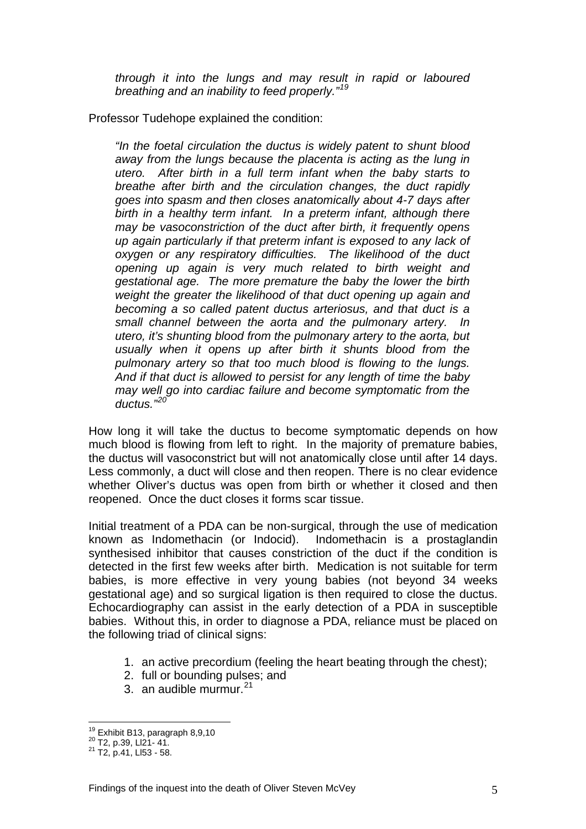*through it into the lungs and may result in rapid or laboured breathing and an inability to feed properly."[19](#page-5-0)*

Professor Tudehope explained the condition:

*"In the foetal circulation the ductus is widely patent to shunt blood away from the lungs because the placenta is acting as the lung in utero. After birth in a full term infant when the baby starts to breathe after birth and the circulation changes, the duct rapidly goes into spasm and then closes anatomically about 4-7 days after birth in a healthy term infant. In a preterm infant, although there may be vasoconstriction of the duct after birth, it frequently opens up again particularly if that preterm infant is exposed to any lack of oxygen or any respiratory difficulties. The likelihood of the duct opening up again is very much related to birth weight and gestational age. The more premature the baby the lower the birth weight the greater the likelihood of that duct opening up again and becoming a so called patent ductus arteriosus, and that duct is a small channel between the aorta and the pulmonary artery. In utero, it's shunting blood from the pulmonary artery to the aorta, but usually when it opens up after birth it shunts blood from the pulmonary artery so that too much blood is flowing to the lungs. And if that duct is allowed to persist for any length of time the baby may well go into cardiac failure and become symptomatic from the ductus."[20](#page-5-1)*

How long it will take the ductus to become symptomatic depends on how much blood is flowing from left to right. In the majority of premature babies, the ductus will vasoconstrict but will not anatomically close until after 14 days. Less commonly, a duct will close and then reopen. There is no clear evidence whether Oliver's ductus was open from birth or whether it closed and then reopened. Once the duct closes it forms scar tissue.

Initial treatment of a PDA can be non-surgical, through the use of medication known as Indomethacin (or Indocid). Indomethacin is a prostaglandin synthesised inhibitor that causes constriction of the duct if the condition is detected in the first few weeks after birth. Medication is not suitable for term babies, is more effective in very young babies (not beyond 34 weeks gestational age) and so surgical ligation is then required to close the ductus. Echocardiography can assist in the early detection of a PDA in susceptible babies. Without this, in order to diagnose a PDA, reliance must be placed on the following triad of clinical signs:

- 1. an active precordium (feeling the heart beating through the chest);
- 2. full or bounding pulses; and
- 3. an audible murmur.  $21$

<span id="page-5-0"></span><sup>&</sup>lt;sup>19</sup> Exhibit B13, paragraph 8,9,10<br><sup>20</sup> T2, p.39, Ll21- 41.<br><sup>21</sup> T2, p.41, Ll53 - 58.

<span id="page-5-1"></span>

<span id="page-5-2"></span>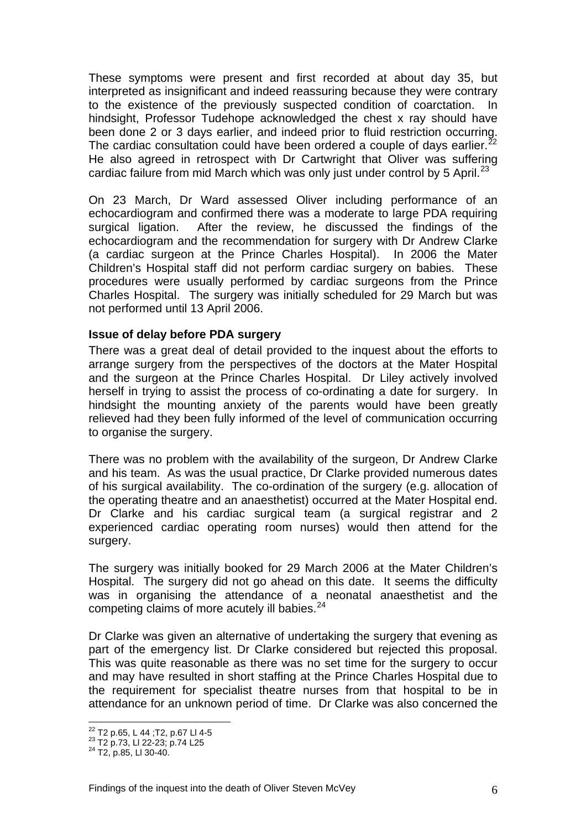These symptoms were present and first recorded at about day 35, but interpreted as insignificant and indeed reassuring because they were contrary to the existence of the previously suspected condition of coarctation. In hindsight, Professor Tudehope acknowledged the chest x ray should have been done 2 or 3 days earlier, and indeed prior to fluid restriction occurring. The cardiac consultation could have been ordered a couple of days earlier.<sup>2</sup> He also agreed in retrospect with Dr Cartwright that Oliver was suffering cardiac failure from mid March which was only just under control by 5 April.<sup>[23](#page-6-1)</sup>

On 23 March, Dr Ward assessed Oliver including performance of an echocardiogram and confirmed there was a moderate to large PDA requiring surgical ligation. After the review, he discussed the findings of the echocardiogram and the recommendation for surgery with Dr Andrew Clarke (a cardiac surgeon at the Prince Charles Hospital). In 2006 the Mater Children's Hospital staff did not perform cardiac surgery on babies. These procedures were usually performed by cardiac surgeons from the Prince Charles Hospital. The surgery was initially scheduled for 29 March but was not performed until 13 April 2006.

#### **Issue of delay before PDA surgery**

There was a great deal of detail provided to the inquest about the efforts to arrange surgery from the perspectives of the doctors at the Mater Hospital and the surgeon at the Prince Charles Hospital. Dr Liley actively involved herself in trying to assist the process of co-ordinating a date for surgery. In hindsight the mounting anxiety of the parents would have been greatly relieved had they been fully informed of the level of communication occurring to organise the surgery.

There was no problem with the availability of the surgeon, Dr Andrew Clarke and his team. As was the usual practice, Dr Clarke provided numerous dates of his surgical availability. The co-ordination of the surgery (e.g. allocation of the operating theatre and an anaesthetist) occurred at the Mater Hospital end. Dr Clarke and his cardiac surgical team (a surgical registrar and 2 experienced cardiac operating room nurses) would then attend for the surgery.

The surgery was initially booked for 29 March 2006 at the Mater Children's Hospital. The surgery did not go ahead on this date. It seems the difficulty was in organising the attendance of a neonatal anaesthetist and the competing claims of more acutely ill babies.<sup>[24](#page-6-2)</sup>

Dr Clarke was given an alternative of undertaking the surgery that evening as part of the emergency list. Dr Clarke considered but rejected this proposal. This was quite reasonable as there was no set time for the surgery to occur and may have resulted in short staffing at the Prince Charles Hospital due to the requirement for specialist theatre nurses from that hospital to be in attendance for an unknown period of time. Dr Clarke was also concerned the

<span id="page-6-0"></span><sup>&</sup>lt;sup>22</sup> T2 p.65, L 44 ; T2, p.67 LI 4-5

<span id="page-6-2"></span><span id="page-6-1"></span> $^{23}$  T2 p.73, LI 22-23; p.74 L25<br><sup>24</sup> T2, p.85, LI 30-40.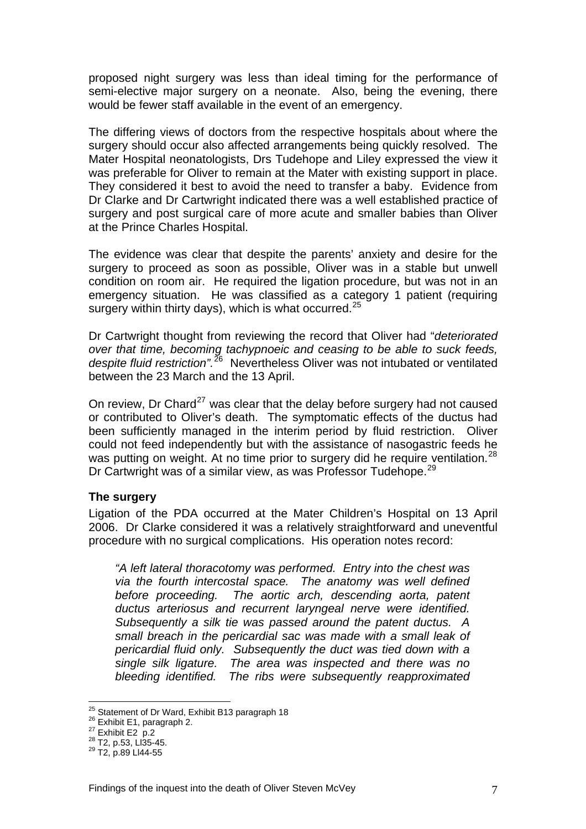proposed night surgery was less than ideal timing for the performance of semi-elective major surgery on a neonate. Also, being the evening, there would be fewer staff available in the event of an emergency.

The differing views of doctors from the respective hospitals about where the surgery should occur also affected arrangements being quickly resolved. The Mater Hospital neonatologists, Drs Tudehope and Liley expressed the view it was preferable for Oliver to remain at the Mater with existing support in place. They considered it best to avoid the need to transfer a baby. Evidence from Dr Clarke and Dr Cartwright indicated there was a well established practice of surgery and post surgical care of more acute and smaller babies than Oliver at the Prince Charles Hospital.

The evidence was clear that despite the parents' anxiety and desire for the surgery to proceed as soon as possible, Oliver was in a stable but unwell condition on room air. He required the ligation procedure, but was not in an emergency situation. He was classified as a category 1 patient (requiring surgery within thirty days), which is what occurred.<sup>[25](#page-7-0)</sup>

Dr Cartwright thought from reviewing the record that Oliver had "*deteriorated over that time, becoming tachypnoeic and ceasing to be able to suck feeds, despite fluid restriction".*[26](#page-7-1) Nevertheless Oliver was not intubated or ventilated between the 23 March and the 13 April.

On review, Dr Chard<sup>[27](#page-7-2)</sup> was clear that the delay before surgery had not caused or contributed to Oliver's death. The symptomatic effects of the ductus had been sufficiently managed in the interim period by fluid restriction. Oliver could not feed independently but with the assistance of nasogastric feeds he was putting on weight. At no time prior to surgery did he require ventilation.<sup>[28](#page-7-3)</sup> Dr Cartwright was of a similar view, as was Professor Tudehope.<sup>[29](#page-7-4)</sup>

#### **The surgery**

Ligation of the PDA occurred at the Mater Children's Hospital on 13 April 2006. Dr Clarke considered it was a relatively straightforward and uneventful procedure with no surgical complications. His operation notes record:

*"A left lateral thoracotomy was performed. Entry into the chest was via the fourth intercostal space. The anatomy was well defined before proceeding. The aortic arch, descending aorta, patent ductus arteriosus and recurrent laryngeal nerve were identified. Subsequently a silk tie was passed around the patent ductus. A small breach in the pericardial sac was made with a small leak of pericardial fluid only. Subsequently the duct was tied down with a single silk ligature. The area was inspected and there was no bleeding identified. The ribs were subsequently reapproximated* 

<span id="page-7-1"></span><span id="page-7-0"></span><sup>&</sup>lt;sup>25</sup> Statement of Dr Ward, Exhibit B13 paragraph 18<br><sup>26</sup> Exhibit E1, paragraph 2.<br><sup>27</sup> Exhibit E2 p.2<br><sup>28</sup> T2, p.53, Ll35-45.<br><sup>29</sup> T2, p.89 Ll44-55

<span id="page-7-3"></span><span id="page-7-2"></span>

<span id="page-7-4"></span>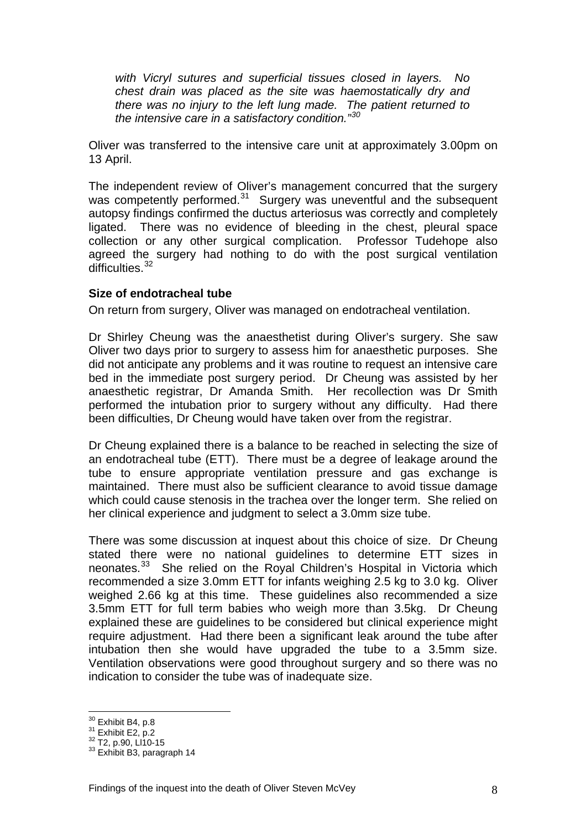*with Vicryl sutures and superficial tissues closed in layers. No chest drain was placed as the site was haemostatically dry and there was no injury to the left lung made. The patient returned to the intensive care in a satisfactory condition."[30](#page-8-0)*

Oliver was transferred to the intensive care unit at approximately 3.00pm on 13 April.

The independent review of Oliver's management concurred that the surgery was competently performed.<sup>[31](#page-8-1)</sup> Surgery was uneventful and the subsequent autopsy findings confirmed the ductus arteriosus was correctly and completely ligated. There was no evidence of bleeding in the chest, pleural space collection or any other surgical complication. Professor Tudehope also agreed the surgery had nothing to do with the post surgical ventilation difficulties.<sup>[32](#page-8-2)</sup>

#### **Size of endotracheal tube**

On return from surgery, Oliver was managed on endotracheal ventilation.

Dr Shirley Cheung was the anaesthetist during Oliver's surgery. She saw Oliver two days prior to surgery to assess him for anaesthetic purposes. She did not anticipate any problems and it was routine to request an intensive care bed in the immediate post surgery period. Dr Cheung was assisted by her anaesthetic registrar, Dr Amanda Smith. Her recollection was Dr Smith performed the intubation prior to surgery without any difficulty. Had there been difficulties, Dr Cheung would have taken over from the registrar.

Dr Cheung explained there is a balance to be reached in selecting the size of an endotracheal tube (ETT). There must be a degree of leakage around the tube to ensure appropriate ventilation pressure and gas exchange is maintained. There must also be sufficient clearance to avoid tissue damage which could cause stenosis in the trachea over the longer term. She relied on her clinical experience and judgment to select a 3.0mm size tube.

There was some discussion at inquest about this choice of size. Dr Cheung stated there were no national guidelines to determine ETT sizes in neonates.[33](#page-8-3) She relied on the Royal Children's Hospital in Victoria which recommended a size 3.0mm ETT for infants weighing 2.5 kg to 3.0 kg. Oliver weighed 2.66 kg at this time. These guidelines also recommended a size 3.5mm ETT for full term babies who weigh more than 3.5kg. Dr Cheung explained these are guidelines to be considered but clinical experience might require adjustment. Had there been a significant leak around the tube after intubation then she would have upgraded the tube to a 3.5mm size. Ventilation observations were good throughout surgery and so there was no indication to consider the tube was of inadequate size.

<sup>&</sup>lt;sup>30</sup> Exhibit B4, p.8

<span id="page-8-3"></span>

<span id="page-8-2"></span><span id="page-8-1"></span><span id="page-8-0"></span> $\frac{31}{31}$  Exhibit E2, p.2<br> $\frac{32}{32}$  T2, p.90, Ll10-15<br> $\frac{33}{32}$  Exhibit B3, paragraph 14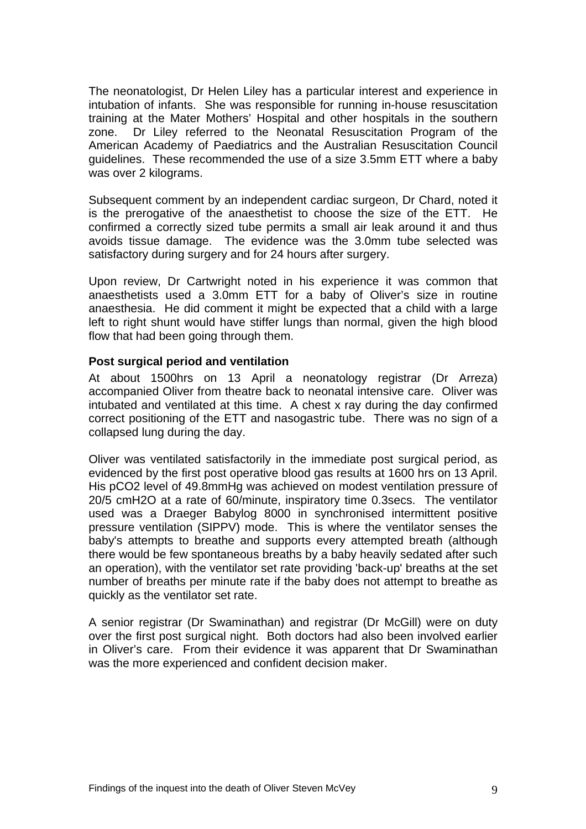The neonatologist, Dr Helen Liley has a particular interest and experience in intubation of infants. She was responsible for running in-house resuscitation training at the Mater Mothers' Hospital and other hospitals in the southern zone. Dr Liley referred to the Neonatal Resuscitation Program of the American Academy of Paediatrics and the Australian Resuscitation Council guidelines. These recommended the use of a size 3.5mm ETT where a baby was over 2 kilograms.

Subsequent comment by an independent cardiac surgeon, Dr Chard, noted it is the prerogative of the anaesthetist to choose the size of the ETT. He confirmed a correctly sized tube permits a small air leak around it and thus avoids tissue damage. The evidence was the 3.0mm tube selected was satisfactory during surgery and for 24 hours after surgery.

Upon review, Dr Cartwright noted in his experience it was common that anaesthetists used a 3.0mm ETT for a baby of Oliver's size in routine anaesthesia. He did comment it might be expected that a child with a large left to right shunt would have stiffer lungs than normal, given the high blood flow that had been going through them.

#### **Post surgical period and ventilation**

At about 1500hrs on 13 April a neonatology registrar (Dr Arreza) accompanied Oliver from theatre back to neonatal intensive care. Oliver was intubated and ventilated at this time. A chest x ray during the day confirmed correct positioning of the ETT and nasogastric tube. There was no sign of a collapsed lung during the day.

Oliver was ventilated satisfactorily in the immediate post surgical period, as evidenced by the first post operative blood gas results at 1600 hrs on 13 April. His pCO2 level of 49.8mmHg was achieved on modest ventilation pressure of 20/5 cmH2O at a rate of 60/minute, inspiratory time 0.3secs. The ventilator used was a Draeger Babylog 8000 in synchronised intermittent positive pressure ventilation (SIPPV) mode. This is where the ventilator senses the baby's attempts to breathe and supports every attempted breath (although there would be few spontaneous breaths by a baby heavily sedated after such an operation), with the ventilator set rate providing 'back-up' breaths at the set number of breaths per minute rate if the baby does not attempt to breathe as quickly as the ventilator set rate.

A senior registrar (Dr Swaminathan) and registrar (Dr McGill) were on duty over the first post surgical night. Both doctors had also been involved earlier in Oliver's care. From their evidence it was apparent that Dr Swaminathan was the more experienced and confident decision maker.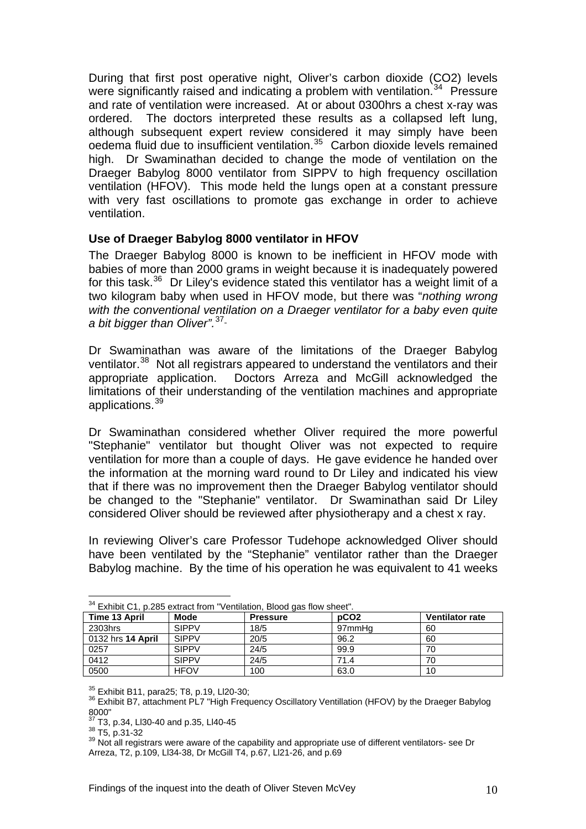During that first post operative night, Oliver's carbon dioxide (CO2) levels were significantly raised and indicating a problem with ventilation.<sup>[34](#page-10-0)</sup> Pressure and rate of ventilation were increased. At or about 0300hrs a chest x-ray was ordered. The doctors interpreted these results as a collapsed left lung, although subsequent expert review considered it may simply have been oedema fluid due to insufficient ventilation.[35](#page-10-1) Carbon dioxide levels remained high. Dr Swaminathan decided to change the mode of ventilation on the Draeger Babylog 8000 ventilator from SIPPV to high frequency oscillation ventilation (HFOV). This mode held the lungs open at a constant pressure with very fast oscillations to promote gas exchange in order to achieve ventilation.

## **Use of Draeger Babylog 8000 ventilator in HFOV**

The Draeger Babylog 8000 is known to be inefficient in HFOV mode with babies of more than 2000 grams in weight because it is inadequately powered for this task.<sup>[36](#page-10-2)</sup> Dr Liley's evidence stated this ventilator has a weight limit of a two kilogram baby when used in HFOV mode, but there was "*nothing wrong with the conventional ventilation on a Draeger ventilator for a baby even quite a bit bigger than Oliver".*[37](#page-10-3)

Dr Swaminathan was aware of the limitations of the Draeger Babylog ventilator.<sup>[38](#page-10-4)</sup> Not all registrars appeared to understand the ventilators and their appropriate application. Doctors Arreza and McGill acknowledged the limitations of their understanding of the ventilation machines and appropriate applications.<sup>[39](#page-10-5)</sup>

Dr Swaminathan considered whether Oliver required the more powerful "Stephanie" ventilator but thought Oliver was not expected to require ventilation for more than a couple of days. He gave evidence he handed over the information at the morning ward round to Dr Liley and indicated his view that if there was no improvement then the Draeger Babylog ventilator should be changed to the "Stephanie" ventilator. Dr Swaminathan said Dr Liley considered Oliver should be reviewed after physiotherapy and a chest x ray.

In reviewing Oliver's care Professor Tudehope acknowledged Oliver should have been ventilated by the "Stephanie" ventilator rather than the Draeger Babylog machine. By the time of his operation he was equivalent to 41 weeks

<span id="page-10-0"></span>

| $\blacksquare$ Exhibit $\bigcup$ i, p.285 extract from vehiliation, blood das flow sheet. |              |                 |                  |                        |  |
|-------------------------------------------------------------------------------------------|--------------|-----------------|------------------|------------------------|--|
| Time 13 April                                                                             | Mode         | <b>Pressure</b> | pCO <sub>2</sub> | <b>Ventilator rate</b> |  |
| 2303hrs                                                                                   | SIPPV        | 18/5            | 97mmHa           | 60                     |  |
| l 0132 hrs <b>14 April</b>                                                                | <b>SIPPV</b> | 20/5            | 96.2             | 60                     |  |
| 0257                                                                                      | SIPPV        | 24/5            | 99.9             | 70                     |  |
| 0412                                                                                      | <b>SIPPV</b> | 24/5            | 71.4             | 70                     |  |
| 0500                                                                                      | <b>HFOV</b>  | 100             | 63.0             | 10                     |  |

| $34$ Exhibit C1, p.285 extract from "Ventilation, Blood gas flow sheet". |  |
|--------------------------------------------------------------------------|--|

<span id="page-10-2"></span><span id="page-10-1"></span> $35$  Exhibit B11, para25; T8, p.19, Ll20-30;<br> $36$  Exhibit B7, attachment PL7 "High Frequency Oscillatory Ventillation (HFOV) by the Draeger Babylog 8000"<br><sup>37</sup> T3, p.34, Ll30-40 and p.35, Ll40-45

<span id="page-10-5"></span><span id="page-10-4"></span><span id="page-10-3"></span> $\frac{38}{35}$  T5, p.34, Llou-40 and p.oo, Llau as<br> $\frac{38}{35}$  T5, p.31-32<br> $\frac{39}{35}$  Not all registrars were aware of the capability and appropriate use of different ventilators- see Dr Arreza, T2, p.109, Ll34-38, Dr McGill T4, p.67, Ll21-26, and p.69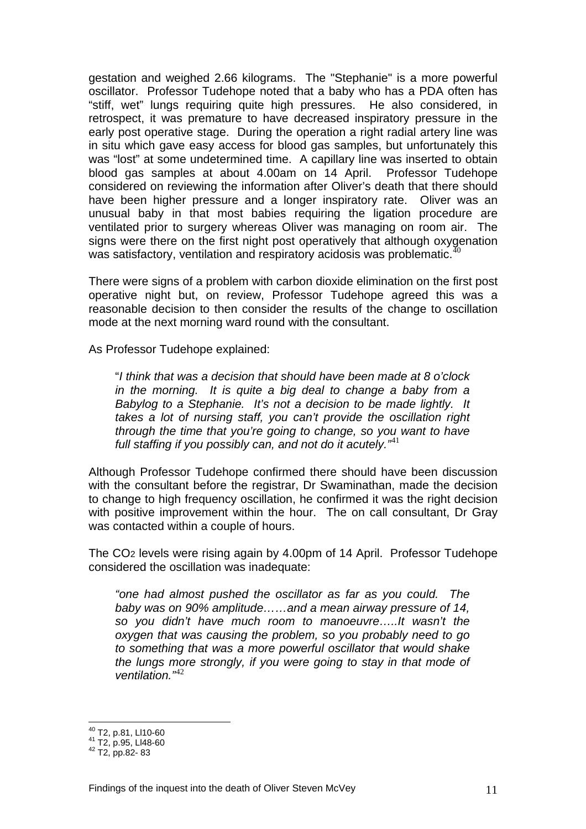gestation and weighed 2.66 kilograms. The "Stephanie" is a more powerful oscillator. Professor Tudehope noted that a baby who has a PDA often has "stiff, wet" lungs requiring quite high pressures. He also considered, in retrospect, it was premature to have decreased inspiratory pressure in the early post operative stage. During the operation a right radial artery line was in situ which gave easy access for blood gas samples, but unfortunately this was "lost" at some undetermined time. A capillary line was inserted to obtain blood gas samples at about 4.00am on 14 April. Professor Tudehope considered on reviewing the information after Oliver's death that there should have been higher pressure and a longer inspiratory rate. Oliver was an unusual baby in that most babies requiring the ligation procedure are ventilated prior to surgery whereas Oliver was managing on room air. The signs were there on the first night post operatively that although oxygenation was satisfactory, ventilation and respiratory acidosis was problematic.<sup>4</sup>

There were signs of a problem with carbon dioxide elimination on the first post operative night but, on review, Professor Tudehope agreed this was a reasonable decision to then consider the results of the change to oscillation mode at the next morning ward round with the consultant.

As Professor Tudehope explained:

"*I think that was a decision that should have been made at 8 o'clock in the morning. It is quite a big deal to change a baby from a Babylog to a Stephanie. It's not a decision to be made lightly. It takes a lot of nursing staff, you can't provide the oscillation right through the time that you're going to change, so you want to have full staffing if you possibly can, and not do it acutely."*[41](#page-11-1)

Although Professor Tudehope confirmed there should have been discussion with the consultant before the registrar, Dr Swaminathan, made the decision to change to high frequency oscillation, he confirmed it was the right decision with positive improvement within the hour. The on call consultant, Dr Gray was contacted within a couple of hours.

The CO2 levels were rising again by 4.00pm of 14 April. Professor Tudehope considered the oscillation was inadequate:

*"one had almost pushed the oscillator as far as you could. The baby was on 90% amplitude……and a mean airway pressure of 14, so you didn't have much room to manoeuvre…..It wasn't the oxygen that was causing the problem, so you probably need to go to something that was a more powerful oscillator that would shake the lungs more strongly, if you were going to stay in that mode of ventilation."*[42](#page-11-2)

<span id="page-11-1"></span><span id="page-11-0"></span><sup>&</sup>lt;sup>40</sup> T2, p.81, Ll10-60<br><sup>41</sup> T2, p.95, Ll48-60<br><sup>42</sup> T2, pp.82- 83

<span id="page-11-2"></span>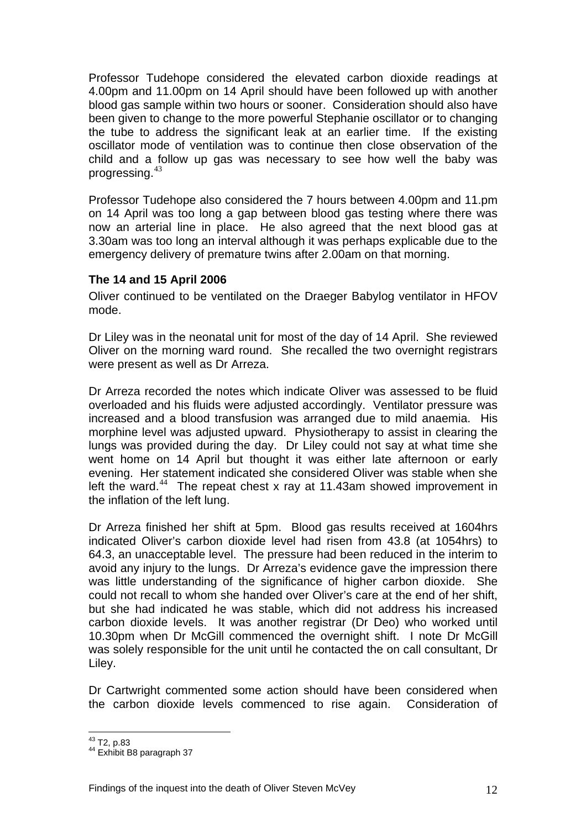Professor Tudehope considered the elevated carbon dioxide readings at 4.00pm and 11.00pm on 14 April should have been followed up with another blood gas sample within two hours or sooner. Consideration should also have been given to change to the more powerful Stephanie oscillator or to changing the tube to address the significant leak at an earlier time. If the existing oscillator mode of ventilation was to continue then close observation of the child and a follow up gas was necessary to see how well the baby was progressing.[43](#page-12-0)

Professor Tudehope also considered the 7 hours between 4.00pm and 11.pm on 14 April was too long a gap between blood gas testing where there was now an arterial line in place. He also agreed that the next blood gas at 3.30am was too long an interval although it was perhaps explicable due to the emergency delivery of premature twins after 2.00am on that morning.

## **The 14 and 15 April 2006**

Oliver continued to be ventilated on the Draeger Babylog ventilator in HFOV mode.

Dr Liley was in the neonatal unit for most of the day of 14 April. She reviewed Oliver on the morning ward round. She recalled the two overnight registrars were present as well as Dr Arreza.

Dr Arreza recorded the notes which indicate Oliver was assessed to be fluid overloaded and his fluids were adjusted accordingly. Ventilator pressure was increased and a blood transfusion was arranged due to mild anaemia. His morphine level was adjusted upward. Physiotherapy to assist in clearing the lungs was provided during the day. Dr Liley could not say at what time she went home on 14 April but thought it was either late afternoon or early evening. Her statement indicated she considered Oliver was stable when she left the ward.<sup>[44](#page-12-1)</sup> The repeat chest x ray at 11.43am showed improvement in the inflation of the left lung.

Dr Arreza finished her shift at 5pm. Blood gas results received at 1604hrs indicated Oliver's carbon dioxide level had risen from 43.8 (at 1054hrs) to 64.3, an unacceptable level. The pressure had been reduced in the interim to avoid any injury to the lungs. Dr Arreza's evidence gave the impression there was little understanding of the significance of higher carbon dioxide. She could not recall to whom she handed over Oliver's care at the end of her shift, but she had indicated he was stable, which did not address his increased carbon dioxide levels. It was another registrar (Dr Deo) who worked until 10.30pm when Dr McGill commenced the overnight shift. I note Dr McGill was solely responsible for the unit until he contacted the on call consultant, Dr Liley.

Dr Cartwright commented some action should have been considered when the carbon dioxide levels commenced to rise again. Consideration of

<span id="page-12-0"></span> $43$  T2, p.83

<span id="page-12-1"></span><sup>&</sup>lt;sup>44</sup> Exhibit B8 paragraph 37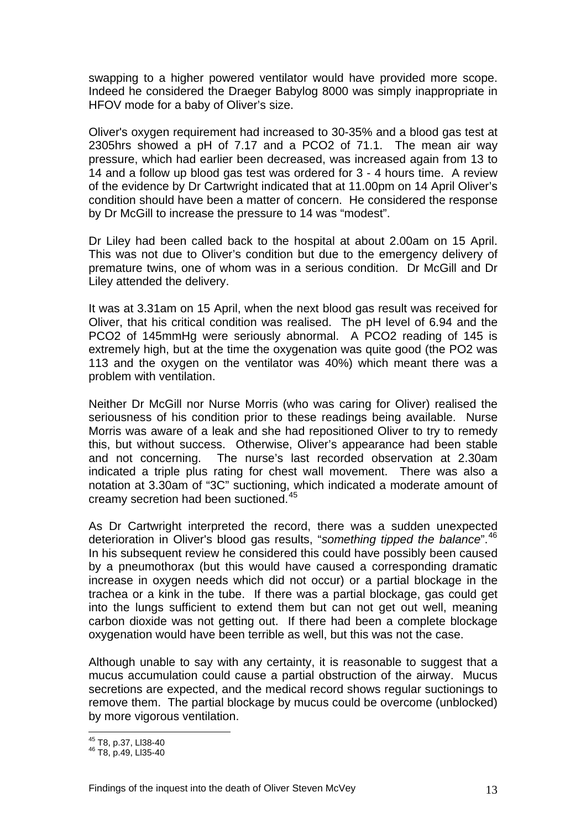swapping to a higher powered ventilator would have provided more scope. Indeed he considered the Draeger Babylog 8000 was simply inappropriate in HFOV mode for a baby of Oliver's size.

Oliver's oxygen requirement had increased to 30-35% and a blood gas test at 2305hrs showed a pH of 7.17 and a PCO2 of 71.1. The mean air way pressure, which had earlier been decreased, was increased again from 13 to 14 and a follow up blood gas test was ordered for 3 - 4 hours time. A review of the evidence by Dr Cartwright indicated that at 11.00pm on 14 April Oliver's condition should have been a matter of concern. He considered the response by Dr McGill to increase the pressure to 14 was "modest".

Dr Liley had been called back to the hospital at about 2.00am on 15 April. This was not due to Oliver's condition but due to the emergency delivery of premature twins, one of whom was in a serious condition. Dr McGill and Dr Liley attended the delivery.

It was at 3.31am on 15 April, when the next blood gas result was received for Oliver, that his critical condition was realised. The pH level of 6.94 and the PCO2 of 145mmHg were seriously abnormal. A PCO2 reading of 145 is extremely high, but at the time the oxygenation was quite good (the PO2 was 113 and the oxygen on the ventilator was 40%) which meant there was a problem with ventilation.

Neither Dr McGill nor Nurse Morris (who was caring for Oliver) realised the seriousness of his condition prior to these readings being available. Nurse Morris was aware of a leak and she had repositioned Oliver to try to remedy this, but without success. Otherwise, Oliver's appearance had been stable and not concerning. The nurse's last recorded observation at 2.30am indicated a triple plus rating for chest wall movement. There was also a notation at 3.30am of "3C" suctioning, which indicated a moderate amount of creamy secretion had been suctioned.[45](#page-13-0)

As Dr Cartwright interpreted the record, there was a sudden unexpected deterioration in Oliver's blood gas results, "*something tipped the balance*".[46](#page-13-1) In his subsequent review he considered this could have possibly been caused by a pneumothorax (but this would have caused a corresponding dramatic increase in oxygen needs which did not occur) or a partial blockage in the trachea or a kink in the tube. If there was a partial blockage, gas could get into the lungs sufficient to extend them but can not get out well, meaning carbon dioxide was not getting out. If there had been a complete blockage oxygenation would have been terrible as well, but this was not the case.

Although unable to say with any certainty, it is reasonable to suggest that a mucus accumulation could cause a partial obstruction of the airway. Mucus secretions are expected, and the medical record shows regular suctionings to remove them. The partial blockage by mucus could be overcome (unblocked) by more vigorous ventilation.

<span id="page-13-0"></span><sup>&</sup>lt;sup>45</sup> T8, p.37, Ll38-40

<span id="page-13-1"></span><sup>45</sup> T8, p.37, Ll38-40 46 T8, p.49, Ll35-40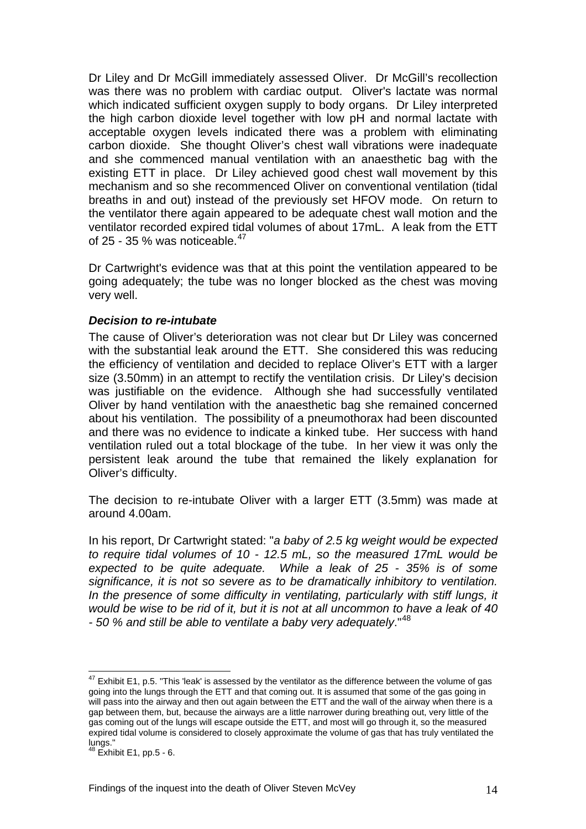Dr Liley and Dr McGill immediately assessed Oliver. Dr McGill's recollection was there was no problem with cardiac output. Oliver's lactate was normal which indicated sufficient oxygen supply to body organs. Dr Liley interpreted the high carbon dioxide level together with low pH and normal lactate with acceptable oxygen levels indicated there was a problem with eliminating carbon dioxide. She thought Oliver's chest wall vibrations were inadequate and she commenced manual ventilation with an anaesthetic bag with the existing ETT in place. Dr Liley achieved good chest wall movement by this mechanism and so she recommenced Oliver on conventional ventilation (tidal breaths in and out) instead of the previously set HFOV mode. On return to the ventilator there again appeared to be adequate chest wall motion and the ventilator recorded expired tidal volumes of about 17mL. A leak from the ETT of 25 - 35 % was noticeable.<sup>[47](#page-14-0)</sup>

Dr Cartwright's evidence was that at this point the ventilation appeared to be going adequately; the tube was no longer blocked as the chest was moving very well.

#### *Decision to re-intubate*

The cause of Oliver's deterioration was not clear but Dr Liley was concerned with the substantial leak around the ETT. She considered this was reducing the efficiency of ventilation and decided to replace Oliver's ETT with a larger size (3.50mm) in an attempt to rectify the ventilation crisis. Dr Liley's decision was justifiable on the evidence. Although she had successfully ventilated Oliver by hand ventilation with the anaesthetic bag she remained concerned about his ventilation. The possibility of a pneumothorax had been discounted and there was no evidence to indicate a kinked tube. Her success with hand ventilation ruled out a total blockage of the tube. In her view it was only the persistent leak around the tube that remained the likely explanation for Oliver's difficulty.

The decision to re-intubate Oliver with a larger ETT (3.5mm) was made at around 4.00am.

In his report, Dr Cartwright stated: "*a baby of 2.5 kg weight would be expected to require tidal volumes of 10 - 12.5 mL, so the measured 17mL would be expected to be quite adequate. While a leak of 25 - 35% is of some significance, it is not so severe as to be dramatically inhibitory to ventilation.*  In the presence of some difficulty in ventilating, particularly with stiff lungs, it *would be wise to be rid of it, but it is not at all uncommon to have a leak of 40 - 50 % and still be able to ventilate a baby very adequately*."[48](#page-14-1)

<span id="page-14-0"></span> $47$  Exhibit E1, p.5. "This 'leak' is assessed by the ventilator as the difference between the volume of gas going into the lungs through the ETT and that coming out. It is assumed that some of the gas going in will pass into the airway and then out again between the ETT and the wall of the airway when there is a gap between them, but, because the airways are a little narrower during breathing out, very little of the gas coming out of the lungs will escape outside the ETT, and most will go through it, so the measured expired tidal volume is considered to closely approximate the volume of gas that has truly ventilated the lungs."

<span id="page-14-1"></span> $48$  Exhibit E1, pp.5 - 6.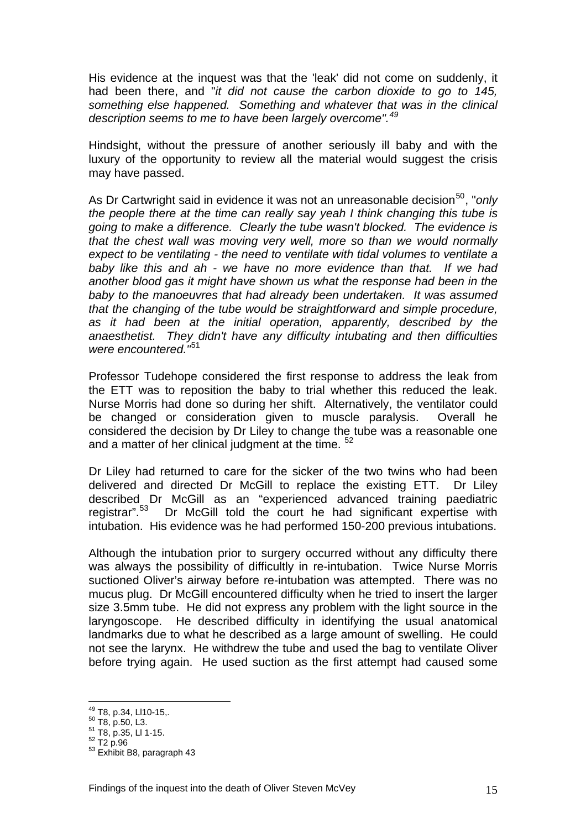His evidence at the inquest was that the 'leak' did not come on suddenly, it had been there, and "*it did not cause the carbon dioxide to go to 145, something else happened. Something and whatever that was in the clinical description seems to me to have been largely overcome".[49](#page-15-0)*

Hindsight, without the pressure of another seriously ill baby and with the luxury of the opportunity to review all the material would suggest the crisis may have passed.

As Dr Cartwright said in evidence it was not an unreasonable decision<sup>[50](#page-15-1)</sup>, "*only the people there at the time can really say yeah I think changing this tube is going to make a difference. Clearly the tube wasn't blocked. The evidence is that the chest wall was moving very well, more so than we would normally expect to be ventilating - the need to ventilate with tidal volumes to ventilate a baby like this and ah - we have no more evidence than that. If we had another blood gas it might have shown us what the response had been in the baby to the manoeuvres that had already been undertaken. It was assumed that the changing of the tube would be straightforward and simple procedure, as it had been at the initial operation, apparently, described by the anaesthetist. They didn't have any difficulty intubating and then difficulties were encountered."*[51](#page-15-2)

Professor Tudehope considered the first response to address the leak from the ETT was to reposition the baby to trial whether this reduced the leak. Nurse Morris had done so during her shift. Alternatively, the ventilator could be changed or consideration given to muscle paralysis. Overall he considered the decision by Dr Liley to change the tube was a reasonable one and a matter of her clinical judgment at the time. <sup>[52](#page-15-3)</sup>

Dr Liley had returned to care for the sicker of the two twins who had been delivered and directed Dr McGill to replace the existing ETT. Dr Liley described Dr McGill as an "experienced advanced training paediatric registrar".[53](#page-15-4) Dr McGill told the court he had significant expertise with intubation. His evidence was he had performed 150-200 previous intubations.

Although the intubation prior to surgery occurred without any difficulty there was always the possibility of difficultly in re-intubation. Twice Nurse Morris suctioned Oliver's airway before re-intubation was attempted. There was no mucus plug. Dr McGill encountered difficulty when he tried to insert the larger size 3.5mm tube. He did not express any problem with the light source in the laryngoscope. He described difficulty in identifying the usual anatomical landmarks due to what he described as a large amount of swelling. He could not see the larynx. He withdrew the tube and used the bag to ventilate Oliver before trying again. He used suction as the first attempt had caused some

<sup>&</sup>lt;sup>49</sup> T8, p.34, LI10-15,.

<span id="page-15-4"></span><span id="page-15-3"></span>

<span id="page-15-2"></span><span id="page-15-1"></span><span id="page-15-0"></span> $^{16}$ ,  $p.94$ , Lito-15,<br>  $^{50}$  T8, p.35, Ll 1-15.<br>  $^{52}$  T2 p.96<br>  $^{53}$  Exhibit B8, paragraph 43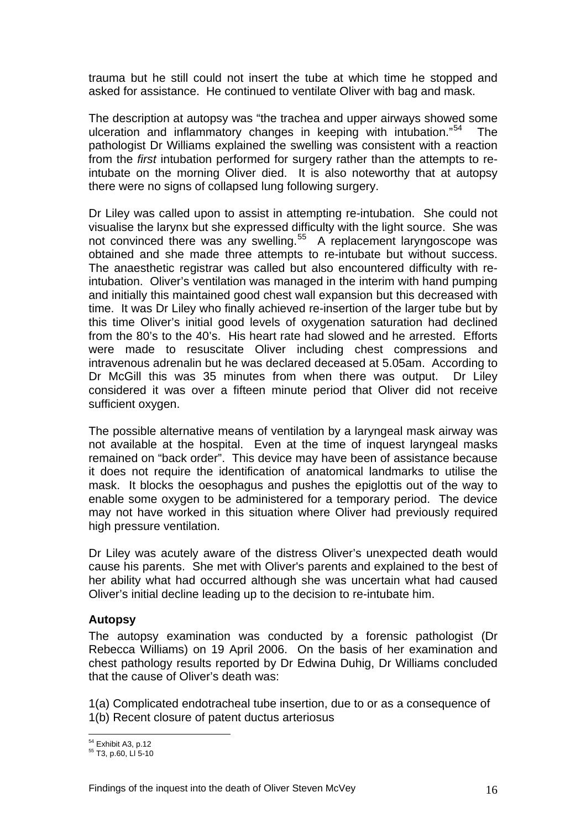trauma but he still could not insert the tube at which time he stopped and asked for assistance. He continued to ventilate Oliver with bag and mask.

The description at autopsy was "the trachea and upper airways showed some ulceration and inflammatory changes in keeping with intubation."<sup>[54](#page-16-0)</sup> The pathologist Dr Williams explained the swelling was consistent with a reaction from the *first* intubation performed for surgery rather than the attempts to reintubate on the morning Oliver died. It is also noteworthy that at autopsy there were no signs of collapsed lung following surgery.

Dr Liley was called upon to assist in attempting re-intubation. She could not visualise the larynx but she expressed difficulty with the light source. She was not convinced there was any swelling.<sup>[55](#page-16-1)</sup> A replacement laryngoscope was obtained and she made three attempts to re-intubate but without success. The anaesthetic registrar was called but also encountered difficulty with reintubation. Oliver's ventilation was managed in the interim with hand pumping and initially this maintained good chest wall expansion but this decreased with time. It was Dr Liley who finally achieved re-insertion of the larger tube but by this time Oliver's initial good levels of oxygenation saturation had declined from the 80's to the 40's. His heart rate had slowed and he arrested. Efforts were made to resuscitate Oliver including chest compressions and intravenous adrenalin but he was declared deceased at 5.05am. According to Dr McGill this was 35 minutes from when there was output. Dr Liley considered it was over a fifteen minute period that Oliver did not receive sufficient oxygen.

The possible alternative means of ventilation by a laryngeal mask airway was not available at the hospital. Even at the time of inquest laryngeal masks remained on "back order". This device may have been of assistance because it does not require the identification of anatomical landmarks to utilise the mask. It blocks the oesophagus and pushes the epiglottis out of the way to enable some oxygen to be administered for a temporary period. The device may not have worked in this situation where Oliver had previously required high pressure ventilation.

Dr Liley was acutely aware of the distress Oliver's unexpected death would cause his parents. She met with Oliver's parents and explained to the best of her ability what had occurred although she was uncertain what had caused Oliver's initial decline leading up to the decision to re-intubate him.

## **Autopsy**

The autopsy examination was conducted by a forensic pathologist (Dr Rebecca Williams) on 19 April 2006. On the basis of her examination and chest pathology results reported by Dr Edwina Duhig, Dr Williams concluded that the cause of Oliver's death was:

1(a) Complicated endotracheal tube insertion, due to or as a consequence of 1(b) Recent closure of patent ductus arteriosus

<sup>&</sup>lt;sup>54</sup> Exhibit A3, p.12

<span id="page-16-1"></span><span id="page-16-0"></span> $55$  T3, p.60, LI 5-10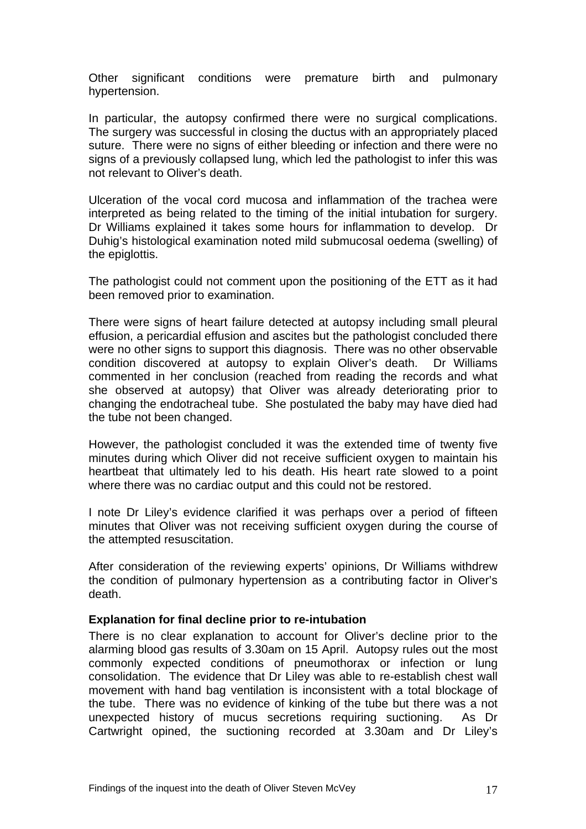Other significant conditions were premature birth and pulmonary hypertension.

In particular, the autopsy confirmed there were no surgical complications. The surgery was successful in closing the ductus with an appropriately placed suture. There were no signs of either bleeding or infection and there were no signs of a previously collapsed lung, which led the pathologist to infer this was not relevant to Oliver's death.

Ulceration of the vocal cord mucosa and inflammation of the trachea were interpreted as being related to the timing of the initial intubation for surgery. Dr Williams explained it takes some hours for inflammation to develop. Dr Duhig's histological examination noted mild submucosal oedema (swelling) of the epiglottis.

The pathologist could not comment upon the positioning of the ETT as it had been removed prior to examination.

There were signs of heart failure detected at autopsy including small pleural effusion, a pericardial effusion and ascites but the pathologist concluded there were no other signs to support this diagnosis. There was no other observable condition discovered at autopsy to explain Oliver's death. Dr Williams commented in her conclusion (reached from reading the records and what she observed at autopsy) that Oliver was already deteriorating prior to changing the endotracheal tube. She postulated the baby may have died had the tube not been changed.

However, the pathologist concluded it was the extended time of twenty five minutes during which Oliver did not receive sufficient oxygen to maintain his heartbeat that ultimately led to his death. His heart rate slowed to a point where there was no cardiac output and this could not be restored.

I note Dr Liley's evidence clarified it was perhaps over a period of fifteen minutes that Oliver was not receiving sufficient oxygen during the course of the attempted resuscitation.

After consideration of the reviewing experts' opinions, Dr Williams withdrew the condition of pulmonary hypertension as a contributing factor in Oliver's death.

#### **Explanation for final decline prior to re-intubation**

There is no clear explanation to account for Oliver's decline prior to the alarming blood gas results of 3.30am on 15 April. Autopsy rules out the most commonly expected conditions of pneumothorax or infection or lung consolidation. The evidence that Dr Liley was able to re-establish chest wall movement with hand bag ventilation is inconsistent with a total blockage of the tube. There was no evidence of kinking of the tube but there was a not unexpected history of mucus secretions requiring suctioning. As Dr Cartwright opined, the suctioning recorded at 3.30am and Dr Liley's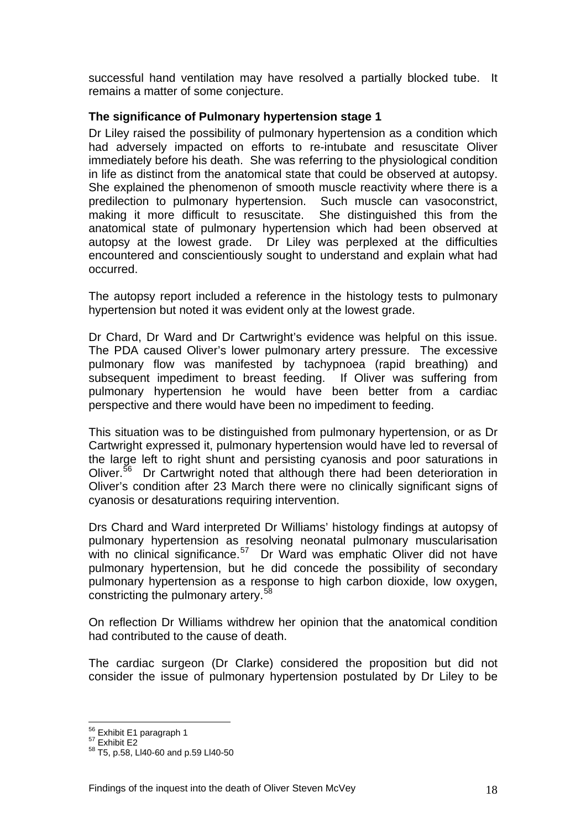successful hand ventilation may have resolved a partially blocked tube. It remains a matter of some conjecture.

## **The significance of Pulmonary hypertension stage 1**

Dr Liley raised the possibility of pulmonary hypertension as a condition which had adversely impacted on efforts to re-intubate and resuscitate Oliver immediately before his death. She was referring to the physiological condition in life as distinct from the anatomical state that could be observed at autopsy. She explained the phenomenon of smooth muscle reactivity where there is a predilection to pulmonary hypertension. Such muscle can vasoconstrict, making it more difficult to resuscitate. She distinguished this from the anatomical state of pulmonary hypertension which had been observed at autopsy at the lowest grade. Dr Liley was perplexed at the difficulties encountered and conscientiously sought to understand and explain what had occurred.

The autopsy report included a reference in the histology tests to pulmonary hypertension but noted it was evident only at the lowest grade.

Dr Chard, Dr Ward and Dr Cartwright's evidence was helpful on this issue. The PDA caused Oliver's lower pulmonary artery pressure. The excessive pulmonary flow was manifested by tachypnoea (rapid breathing) and subsequent impediment to breast feeding. If Oliver was suffering from pulmonary hypertension he would have been better from a cardiac perspective and there would have been no impediment to feeding.

This situation was to be distinguished from pulmonary hypertension, or as Dr Cartwright expressed it, pulmonary hypertension would have led to reversal of the large left to right shunt and persisting cyanosis and poor saturations in Oliver.<sup>[56](#page-18-0)</sup> Dr Cartwright noted that although there had been deterioration in Oliver's condition after 23 March there were no clinically significant signs of cyanosis or desaturations requiring intervention.

Drs Chard and Ward interpreted Dr Williams' histology findings at autopsy of pulmonary hypertension as resolving neonatal pulmonary muscularisation with no clinical significance. $57$  Dr Ward was emphatic Oliver did not have pulmonary hypertension, but he did concede the possibility of secondary pulmonary hypertension as a response to high carbon dioxide, low oxygen, constricting the pulmonary artery.<sup>[58](#page-18-2)</sup>

On reflection Dr Williams withdrew her opinion that the anatomical condition had contributed to the cause of death.

The cardiac surgeon (Dr Clarke) considered the proposition but did not consider the issue of pulmonary hypertension postulated by Dr Liley to be

 $\overline{a}$ 

<span id="page-18-2"></span><span id="page-18-1"></span><span id="page-18-0"></span>

<sup>&</sup>lt;sup>56</sup> Exhibit E1 paragraph 1<br><sup>57</sup> Exhibit E2<br><sup>58</sup> T5, p.58, Ll40-60 and p.59 Ll40-50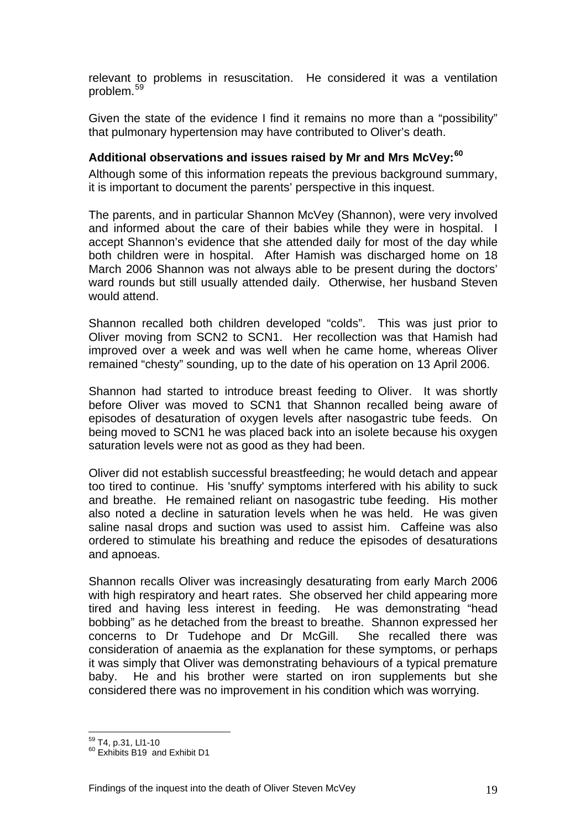relevant to problems in resuscitation. He considered it was a ventilation problem.[59](#page-19-0)

Given the state of the evidence I find it remains no more than a "possibility" that pulmonary hypertension may have contributed to Oliver's death.

## **Additional observations and issues raised by Mr and Mrs McVey:[60](#page-19-1)**

Although some of this information repeats the previous background summary, it is important to document the parents' perspective in this inquest.

The parents, and in particular Shannon McVey (Shannon), were very involved and informed about the care of their babies while they were in hospital. I accept Shannon's evidence that she attended daily for most of the day while both children were in hospital. After Hamish was discharged home on 18 March 2006 Shannon was not always able to be present during the doctors' ward rounds but still usually attended daily. Otherwise, her husband Steven would attend.

Shannon recalled both children developed "colds". This was just prior to Oliver moving from SCN2 to SCN1. Her recollection was that Hamish had improved over a week and was well when he came home, whereas Oliver remained "chesty" sounding, up to the date of his operation on 13 April 2006.

Shannon had started to introduce breast feeding to Oliver. It was shortly before Oliver was moved to SCN1 that Shannon recalled being aware of episodes of desaturation of oxygen levels after nasogastric tube feeds. On being moved to SCN1 he was placed back into an isolete because his oxygen saturation levels were not as good as they had been.

Oliver did not establish successful breastfeeding; he would detach and appear too tired to continue. His 'snuffy' symptoms interfered with his ability to suck and breathe. He remained reliant on nasogastric tube feeding. His mother also noted a decline in saturation levels when he was held. He was given saline nasal drops and suction was used to assist him. Caffeine was also ordered to stimulate his breathing and reduce the episodes of desaturations and apnoeas.

Shannon recalls Oliver was increasingly desaturating from early March 2006 with high respiratory and heart rates. She observed her child appearing more tired and having less interest in feeding. He was demonstrating "head bobbing" as he detached from the breast to breathe. Shannon expressed her concerns to Dr Tudehope and Dr McGill. She recalled there was consideration of anaemia as the explanation for these symptoms, or perhaps it was simply that Oliver was demonstrating behaviours of a typical premature baby. He and his brother were started on iron supplements but she considered there was no improvement in his condition which was worrying.

<span id="page-19-0"></span><sup>&</sup>lt;sup>59</sup> T4, p.31, LI1-10

<span id="page-19-1"></span> $60$  Exhibits B<sub>19</sub> and Exhibit D<sub>1</sub>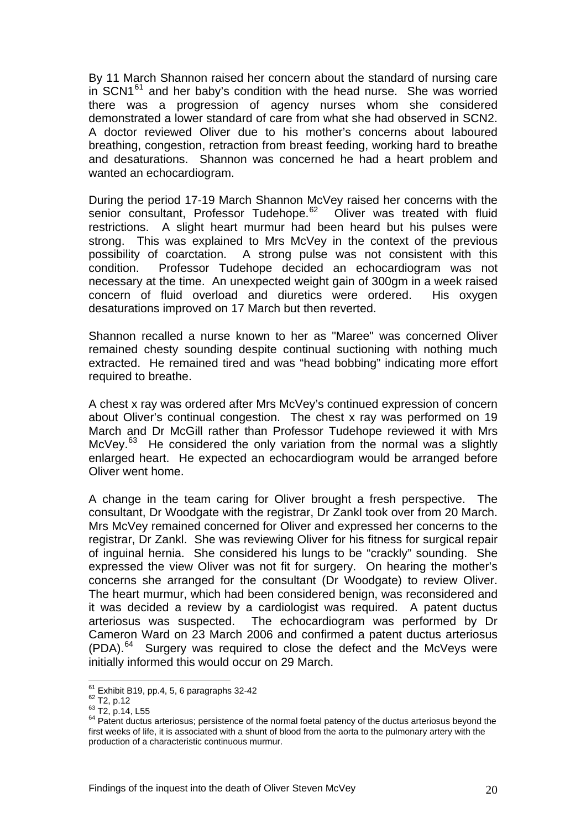By 11 March Shannon raised her concern about the standard of nursing care in  $SCN1<sup>61</sup>$  $SCN1<sup>61</sup>$  $SCN1<sup>61</sup>$  and her baby's condition with the head nurse. She was worried there was a progression of agency nurses whom she considered demonstrated a lower standard of care from what she had observed in SCN2. A doctor reviewed Oliver due to his mother's concerns about laboured breathing, congestion, retraction from breast feeding, working hard to breathe and desaturations. Shannon was concerned he had a heart problem and wanted an echocardiogram.

During the period 17-19 March Shannon McVey raised her concerns with the senior consultant, Professor Tudehope.<sup>[62](#page-20-1)</sup> Oliver was treated with fluid restrictions. A slight heart murmur had been heard but his pulses were strong. This was explained to Mrs McVey in the context of the previous possibility of coarctation. A strong pulse was not consistent with this condition. Professor Tudehope decided an echocardiogram was not necessary at the time. An unexpected weight gain of 300gm in a week raised concern of fluid overload and diuretics were ordered. His oxygen desaturations improved on 17 March but then reverted.

Shannon recalled a nurse known to her as "Maree" was concerned Oliver remained chesty sounding despite continual suctioning with nothing much extracted. He remained tired and was "head bobbing" indicating more effort required to breathe.

A chest x ray was ordered after Mrs McVey's continued expression of concern about Oliver's continual congestion. The chest x ray was performed on 19 March and Dr McGill rather than Professor Tudehope reviewed it with Mrs McVey.<sup>[63](#page-20-2)</sup> He considered the only variation from the normal was a slightly enlarged heart. He expected an echocardiogram would be arranged before Oliver went home.

A change in the team caring for Oliver brought a fresh perspective. The consultant, Dr Woodgate with the registrar, Dr Zankl took over from 20 March. Mrs McVey remained concerned for Oliver and expressed her concerns to the registrar, Dr Zankl. She was reviewing Oliver for his fitness for surgical repair of inguinal hernia. She considered his lungs to be "crackly" sounding. She expressed the view Oliver was not fit for surgery. On hearing the mother's concerns she arranged for the consultant (Dr Woodgate) to review Oliver. The heart murmur, which had been considered benign, was reconsidered and it was decided a review by a cardiologist was required. A patent ductus arteriosus was suspected. The echocardiogram was performed by Dr Cameron Ward on 23 March 2006 and confirmed a patent ductus arteriosus (PDA).[64](#page-20-3) Surgery was required to close the defect and the McVeys were initially informed this would occur on 29 March.

 $61$  Exhibit B19, pp.4, 5, 6 paragraphs 32-42

<span id="page-20-3"></span>

<span id="page-20-2"></span><span id="page-20-1"></span><span id="page-20-0"></span><sup>62</sup> T2, p.12<br>  $^{62}$  T2, p.12<br>  $^{63}$  T2, p.14, L55<br>  $^{64}$  Patent ductus arteriosus; persistence of the normal foetal patency of the ductus arteriosus beyond the first weeks of life, it is associated with a shunt of blood from the aorta to the pulmonary artery with the production of a characteristic continuous murmur.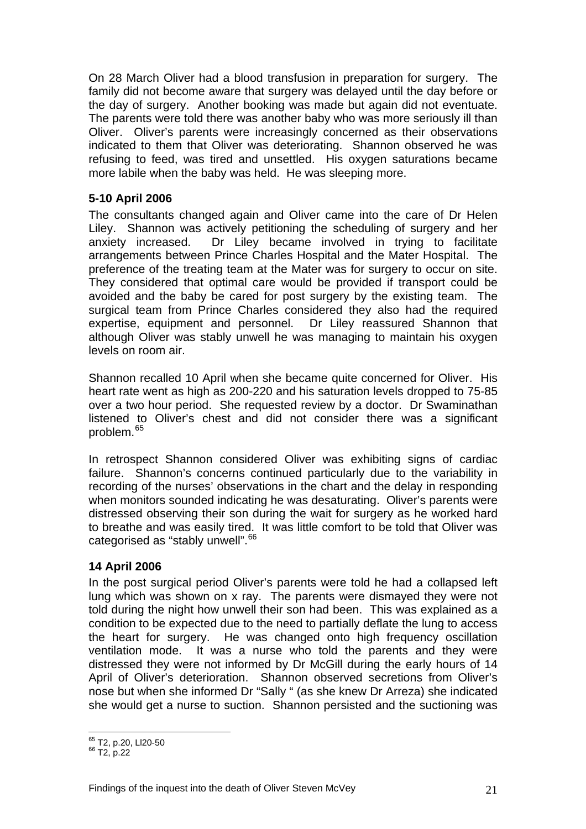On 28 March Oliver had a blood transfusion in preparation for surgery. The family did not become aware that surgery was delayed until the day before or the day of surgery. Another booking was made but again did not eventuate. The parents were told there was another baby who was more seriously ill than Oliver. Oliver's parents were increasingly concerned as their observations indicated to them that Oliver was deteriorating. Shannon observed he was refusing to feed, was tired and unsettled. His oxygen saturations became more labile when the baby was held. He was sleeping more.

## **5-10 April 2006**

The consultants changed again and Oliver came into the care of Dr Helen Liley. Shannon was actively petitioning the scheduling of surgery and her anxiety increased. Dr Liley became involved in trying to facilitate arrangements between Prince Charles Hospital and the Mater Hospital. The preference of the treating team at the Mater was for surgery to occur on site. They considered that optimal care would be provided if transport could be avoided and the baby be cared for post surgery by the existing team. The surgical team from Prince Charles considered they also had the required expertise, equipment and personnel. Dr Liley reassured Shannon that although Oliver was stably unwell he was managing to maintain his oxygen levels on room air.

Shannon recalled 10 April when she became quite concerned for Oliver. His heart rate went as high as 200-220 and his saturation levels dropped to 75-85 over a two hour period. She requested review by a doctor. Dr Swaminathan listened to Oliver's chest and did not consider there was a significant problem.[65](#page-21-0)

In retrospect Shannon considered Oliver was exhibiting signs of cardiac failure. Shannon's concerns continued particularly due to the variability in recording of the nurses' observations in the chart and the delay in responding when monitors sounded indicating he was desaturating. Oliver's parents were distressed observing their son during the wait for surgery as he worked hard to breathe and was easily tired. It was little comfort to be told that Oliver was categorised as "stably unwell".<sup>[66](#page-21-1)</sup>

## **14 April 2006**

In the post surgical period Oliver's parents were told he had a collapsed left lung which was shown on x ray. The parents were dismayed they were not told during the night how unwell their son had been. This was explained as a condition to be expected due to the need to partially deflate the lung to access the heart for surgery. He was changed onto high frequency oscillation ventilation mode. It was a nurse who told the parents and they were distressed they were not informed by Dr McGill during the early hours of 14 April of Oliver's deterioration. Shannon observed secretions from Oliver's nose but when she informed Dr "Sally " (as she knew Dr Arreza) she indicated she would get a nurse to suction. Shannon persisted and the suctioning was

<span id="page-21-0"></span> $\overline{a}$ <sup>65</sup> T2, p.20, Ll20-50<br><sup>66</sup> T2, p.22

<span id="page-21-1"></span>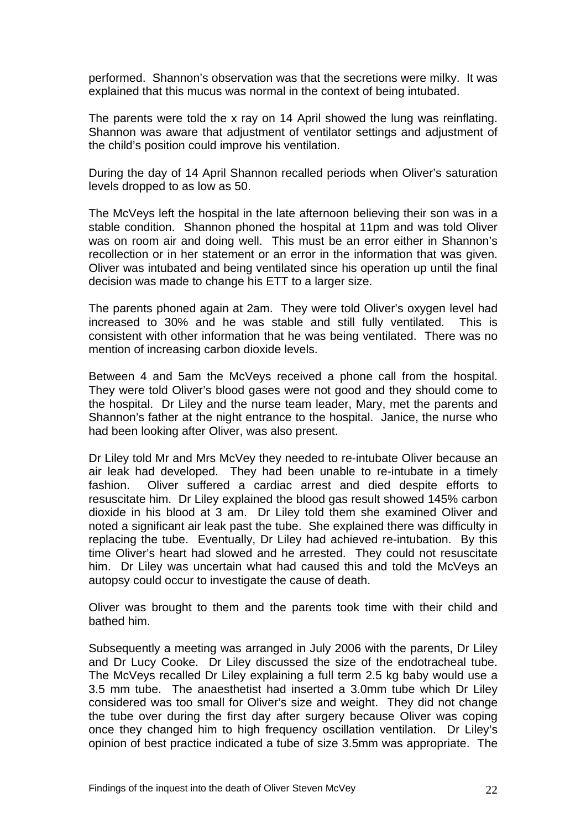performed. Shannon's observation was that the secretions were milky. It was explained that this mucus was normal in the context of being intubated.

The parents were told the x ray on 14 April showed the lung was reinflating. Shannon was aware that adjustment of ventilator settings and adjustment of the child's position could improve his ventilation.

During the day of 14 April Shannon recalled periods when Oliver's saturation levels dropped to as low as 50.

The McVeys left the hospital in the late afternoon believing their son was in a stable condition. Shannon phoned the hospital at 11pm and was told Oliver was on room air and doing well. This must be an error either in Shannon's recollection or in her statement or an error in the information that was given. Oliver was intubated and being ventilated since his operation up until the final decision was made to change his ETT to a larger size.

The parents phoned again at 2am. They were told Oliver's oxygen level had increased to 30% and he was stable and still fully ventilated. This is consistent with other information that he was being ventilated. There was no mention of increasing carbon dioxide levels.

Between 4 and 5am the McVeys received a phone call from the hospital. They were told Oliver's blood gases were not good and they should come to the hospital. Dr Liley and the nurse team leader, Mary, met the parents and Shannon's father at the night entrance to the hospital. Janice, the nurse who had been looking after Oliver, was also present.

Dr Liley told Mr and Mrs McVey they needed to re-intubate Oliver because an air leak had developed. They had been unable to re-intubate in a timely fashion. Oliver suffered a cardiac arrest and died despite efforts to resuscitate him. Dr Liley explained the blood gas result showed 145% carbon dioxide in his blood at 3 am. Dr Liley told them she examined Oliver and noted a significant air leak past the tube. She explained there was difficulty in replacing the tube. Eventually, Dr Liley had achieved re-intubation. By this time Oliver's heart had slowed and he arrested. They could not resuscitate him. Dr Liley was uncertain what had caused this and told the McVeys an autopsy could occur to investigate the cause of death.

Oliver was brought to them and the parents took time with their child and bathed him.

Subsequently a meeting was arranged in July 2006 with the parents, Dr Liley and Dr Lucy Cooke. Dr Liley discussed the size of the endotracheal tube. The McVeys recalled Dr Liley explaining a full term 2.5 kg baby would use a 3.5 mm tube. The anaesthetist had inserted a 3.0mm tube which Dr Liley considered was too small for Oliver's size and weight. They did not change the tube over during the first day after surgery because Oliver was coping once they changed him to high frequency oscillation ventilation. Dr Liley's opinion of best practice indicated a tube of size 3.5mm was appropriate. The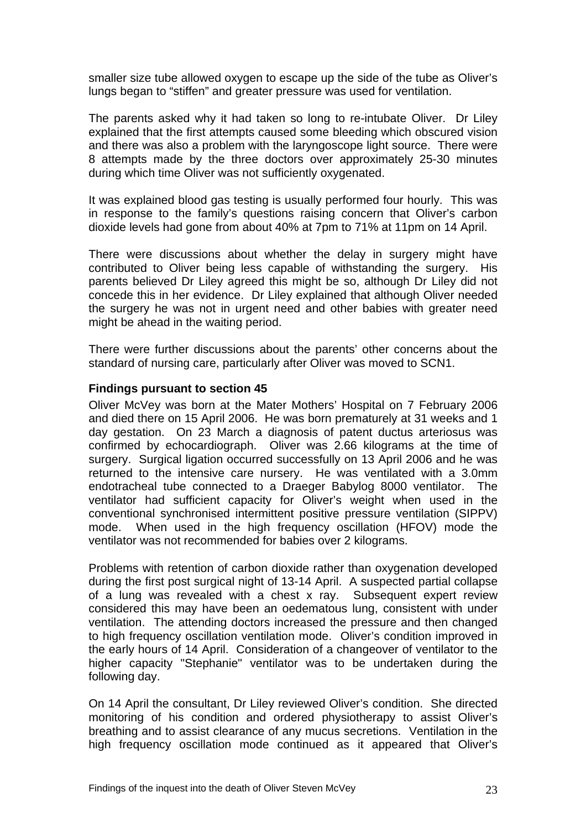smaller size tube allowed oxygen to escape up the side of the tube as Oliver's lungs began to "stiffen" and greater pressure was used for ventilation.

The parents asked why it had taken so long to re-intubate Oliver. Dr Liley explained that the first attempts caused some bleeding which obscured vision and there was also a problem with the laryngoscope light source. There were 8 attempts made by the three doctors over approximately 25-30 minutes during which time Oliver was not sufficiently oxygenated.

It was explained blood gas testing is usually performed four hourly. This was in response to the family's questions raising concern that Oliver's carbon dioxide levels had gone from about 40% at 7pm to 71% at 11pm on 14 April.

There were discussions about whether the delay in surgery might have contributed to Oliver being less capable of withstanding the surgery. His parents believed Dr Liley agreed this might be so, although Dr Liley did not concede this in her evidence. Dr Liley explained that although Oliver needed the surgery he was not in urgent need and other babies with greater need might be ahead in the waiting period.

There were further discussions about the parents' other concerns about the standard of nursing care, particularly after Oliver was moved to SCN1.

## **Findings pursuant to section 45**

Oliver McVey was born at the Mater Mothers' Hospital on 7 February 2006 and died there on 15 April 2006. He was born prematurely at 31 weeks and 1 day gestation. On 23 March a diagnosis of patent ductus arteriosus was confirmed by echocardiograph. Oliver was 2.66 kilograms at the time of surgery. Surgical ligation occurred successfully on 13 April 2006 and he was returned to the intensive care nursery. He was ventilated with a 3.0mm endotracheal tube connected to a Draeger Babylog 8000 ventilator. The ventilator had sufficient capacity for Oliver's weight when used in the conventional synchronised intermittent positive pressure ventilation (SIPPV) mode. When used in the high frequency oscillation (HFOV) mode the ventilator was not recommended for babies over 2 kilograms.

Problems with retention of carbon dioxide rather than oxygenation developed during the first post surgical night of 13-14 April. A suspected partial collapse of a lung was revealed with a chest x ray. Subsequent expert review considered this may have been an oedematous lung, consistent with under ventilation. The attending doctors increased the pressure and then changed to high frequency oscillation ventilation mode. Oliver's condition improved in the early hours of 14 April. Consideration of a changeover of ventilator to the higher capacity "Stephanie" ventilator was to be undertaken during the following day.

On 14 April the consultant, Dr Liley reviewed Oliver's condition. She directed monitoring of his condition and ordered physiotherapy to assist Oliver's breathing and to assist clearance of any mucus secretions. Ventilation in the high frequency oscillation mode continued as it appeared that Oliver's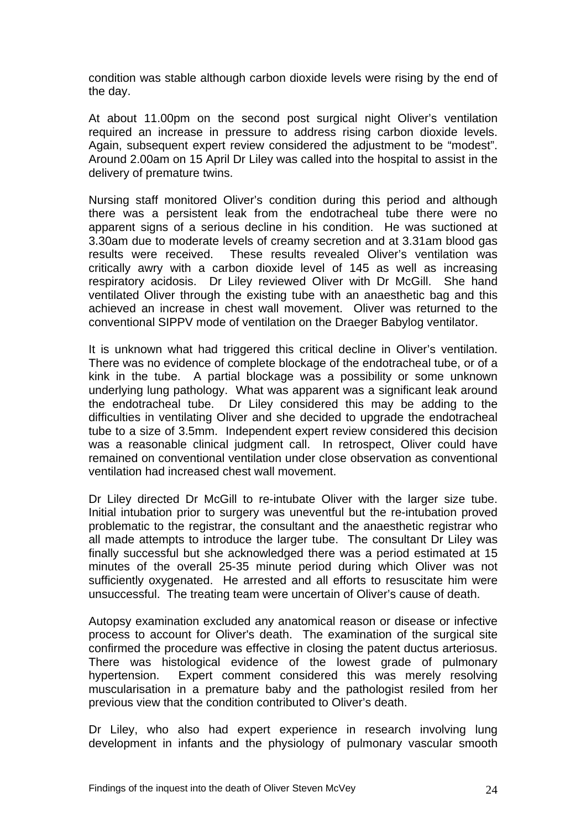condition was stable although carbon dioxide levels were rising by the end of the day.

At about 11.00pm on the second post surgical night Oliver's ventilation required an increase in pressure to address rising carbon dioxide levels. Again, subsequent expert review considered the adjustment to be "modest". Around 2.00am on 15 April Dr Liley was called into the hospital to assist in the delivery of premature twins.

Nursing staff monitored Oliver's condition during this period and although there was a persistent leak from the endotracheal tube there were no apparent signs of a serious decline in his condition. He was suctioned at 3.30am due to moderate levels of creamy secretion and at 3.31am blood gas results were received. These results revealed Oliver's ventilation was critically awry with a carbon dioxide level of 145 as well as increasing respiratory acidosis. Dr Liley reviewed Oliver with Dr McGill. She hand ventilated Oliver through the existing tube with an anaesthetic bag and this achieved an increase in chest wall movement. Oliver was returned to the conventional SIPPV mode of ventilation on the Draeger Babylog ventilator.

It is unknown what had triggered this critical decline in Oliver's ventilation. There was no evidence of complete blockage of the endotracheal tube, or of a kink in the tube. A partial blockage was a possibility or some unknown underlying lung pathology. What was apparent was a significant leak around the endotracheal tube. Dr Liley considered this may be adding to the difficulties in ventilating Oliver and she decided to upgrade the endotracheal tube to a size of 3.5mm. Independent expert review considered this decision was a reasonable clinical judgment call. In retrospect, Oliver could have remained on conventional ventilation under close observation as conventional ventilation had increased chest wall movement.

Dr Liley directed Dr McGill to re-intubate Oliver with the larger size tube. Initial intubation prior to surgery was uneventful but the re-intubation proved problematic to the registrar, the consultant and the anaesthetic registrar who all made attempts to introduce the larger tube. The consultant Dr Liley was finally successful but she acknowledged there was a period estimated at 15 minutes of the overall 25-35 minute period during which Oliver was not sufficiently oxygenated. He arrested and all efforts to resuscitate him were unsuccessful. The treating team were uncertain of Oliver's cause of death.

Autopsy examination excluded any anatomical reason or disease or infective process to account for Oliver's death. The examination of the surgical site confirmed the procedure was effective in closing the patent ductus arteriosus. There was histological evidence of the lowest grade of pulmonary hypertension. Expert comment considered this was merely resolving muscularisation in a premature baby and the pathologist resiled from her previous view that the condition contributed to Oliver's death.

Dr Liley, who also had expert experience in research involving lung development in infants and the physiology of pulmonary vascular smooth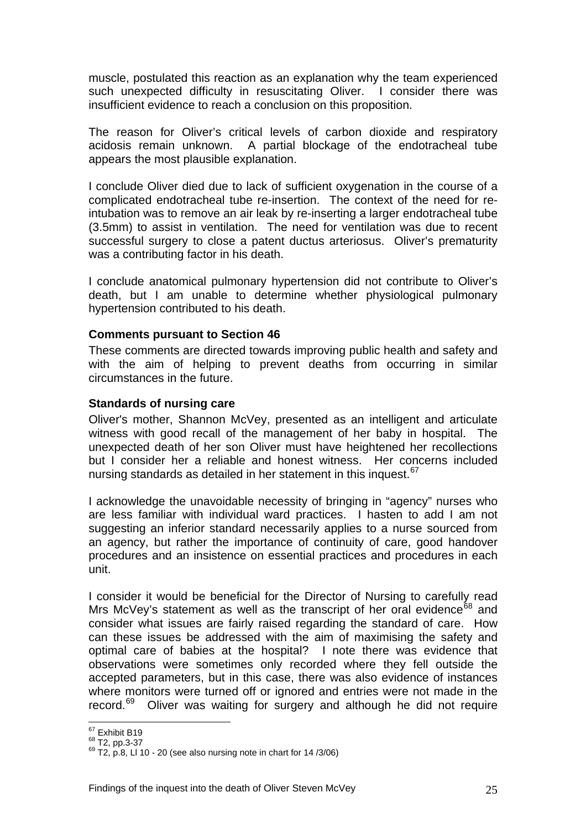muscle, postulated this reaction as an explanation why the team experienced such unexpected difficulty in resuscitating Oliver. I consider there was insufficient evidence to reach a conclusion on this proposition.

The reason for Oliver's critical levels of carbon dioxide and respiratory acidosis remain unknown. A partial blockage of the endotracheal tube appears the most plausible explanation.

I conclude Oliver died due to lack of sufficient oxygenation in the course of a complicated endotracheal tube re-insertion. The context of the need for reintubation was to remove an air leak by re-inserting a larger endotracheal tube (3.5mm) to assist in ventilation. The need for ventilation was due to recent successful surgery to close a patent ductus arteriosus. Oliver's prematurity was a contributing factor in his death.

I conclude anatomical pulmonary hypertension did not contribute to Oliver's death, but I am unable to determine whether physiological pulmonary hypertension contributed to his death.

#### **Comments pursuant to Section 46**

These comments are directed towards improving public health and safety and with the aim of helping to prevent deaths from occurring in similar circumstances in the future.

#### **Standards of nursing care**

Oliver's mother, Shannon McVey, presented as an intelligent and articulate witness with good recall of the management of her baby in hospital. The unexpected death of her son Oliver must have heightened her recollections but I consider her a reliable and honest witness. Her concerns included nursing standards as detailed in her statement in this inquest.<sup>[67](#page-25-0)</sup>

I acknowledge the unavoidable necessity of bringing in "agency" nurses who are less familiar with individual ward practices. I hasten to add I am not suggesting an inferior standard necessarily applies to a nurse sourced from an agency, but rather the importance of continuity of care, good handover procedures and an insistence on essential practices and procedures in each unit.

I consider it would be beneficial for the Director of Nursing to carefully read Mrs McVey's statement as well as the transcript of her oral evidence<sup>[68](#page-25-1)</sup> and consider what issues are fairly raised regarding the standard of care. How can these issues be addressed with the aim of maximising the safety and optimal care of babies at the hospital? I note there was evidence that observations were sometimes only recorded where they fell outside the accepted parameters, but in this case, there was also evidence of instances where monitors were turned off or ignored and entries were not made in the record.[69](#page-25-2) Oliver was waiting for surgery and although he did not require

<span id="page-25-0"></span> $^{67}$  Exhibit B19<br> $^{68}$  T2, pp.3-37

<span id="page-25-2"></span><span id="page-25-1"></span> $^{69}$  T2, p.8, Ll 10 - 20 (see also nursing note in chart for 14 /3/06)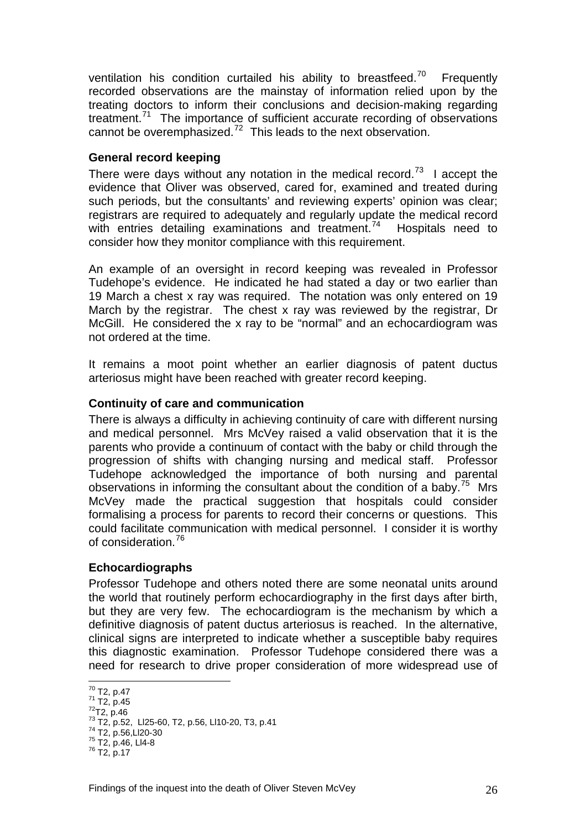ventilation his condition curtailed his ability to breastfeed.<sup>[70](#page-26-0)</sup> Frequently recorded observations are the mainstay of information relied upon by the treating doctors to inform their conclusions and decision-making regarding treatment.<sup>[71](#page-26-1)</sup> The importance of sufficient accurate recording of observations cannot be overemphasized.<sup>[72](#page-26-2)</sup> This leads to the next observation.

## **General record keeping**

There were days without any notation in the medical record.<sup>[73](#page-26-3)</sup> I accept the evidence that Oliver was observed, cared for, examined and treated during such periods, but the consultants' and reviewing experts' opinion was clear; registrars are required to adequately and regularly update the medical record with entries detailing examinations and treatment.<sup>[74](#page-26-4)</sup> Hospitals need to consider how they monitor compliance with this requirement.

An example of an oversight in record keeping was revealed in Professor Tudehope's evidence. He indicated he had stated a day or two earlier than 19 March a chest x ray was required. The notation was only entered on 19 March by the registrar. The chest x ray was reviewed by the registrar, Dr McGill. He considered the x ray to be "normal" and an echocardiogram was not ordered at the time.

It remains a moot point whether an earlier diagnosis of patent ductus arteriosus might have been reached with greater record keeping.

## **Continuity of care and communication**

There is always a difficulty in achieving continuity of care with different nursing and medical personnel. Mrs McVey raised a valid observation that it is the parents who provide a continuum of contact with the baby or child through the progression of shifts with changing nursing and medical staff. Professor Tudehope acknowledged the importance of both nursing and parental observations in informing the consultant about the condition of a baby.<sup>[75](#page-26-5)</sup> Mrs McVey made the practical suggestion that hospitals could consider formalising a process for parents to record their concerns or questions. This could facilitate communication with medical personnel. I consider it is worthy of consideration.[76](#page-26-6)

## **Echocardiographs**

Professor Tudehope and others noted there are some neonatal units around the world that routinely perform echocardiography in the first days after birth, but they are very few. The echocardiogram is the mechanism by which a definitive diagnosis of patent ductus arteriosus is reached. In the alternative, clinical signs are interpreted to indicate whether a susceptible baby requires this diagnostic examination. Professor Tudehope considered there was a need for research to drive proper consideration of more widespread use of

 $70$  T2, p.47

<span id="page-26-2"></span><span id="page-26-1"></span><span id="page-26-0"></span><sup>71</sup> T2, p.45<br>
<sup>72</sup> T2, p.46<br>
<sup>73</sup> T2, p.52, Ll25-60, T2, p.56, Ll10-20, T3, p.41<br>
<sup>74</sup> T2, p.56,Ll20-30<br>
<sup>75</sup> T2, p.46, Ll4-8<br>
<sup>76</sup> T2, p.17

<span id="page-26-4"></span><span id="page-26-3"></span>

<span id="page-26-6"></span><span id="page-26-5"></span>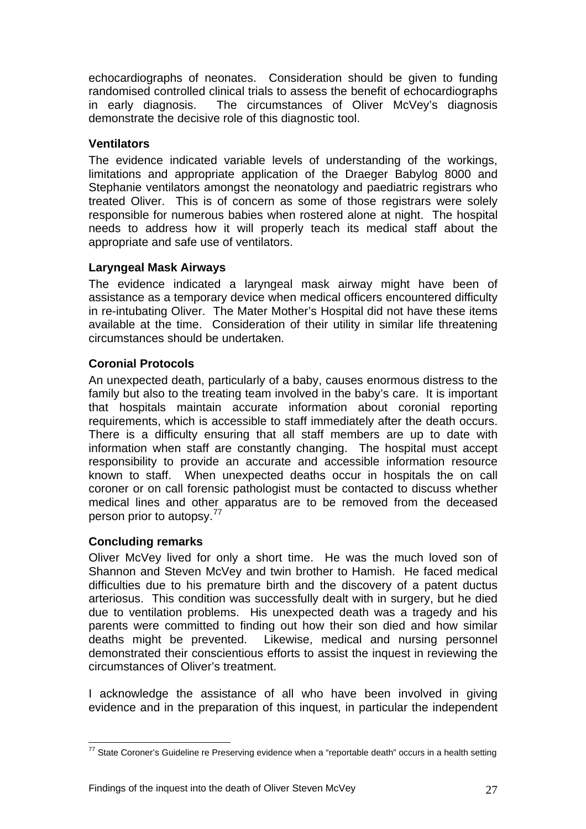echocardiographs of neonates. Consideration should be given to funding randomised controlled clinical trials to assess the benefit of echocardiographs in early diagnosis. The circumstances of Oliver McVey's diagnosis demonstrate the decisive role of this diagnostic tool.

## **Ventilators**

The evidence indicated variable levels of understanding of the workings, limitations and appropriate application of the Draeger Babylog 8000 and Stephanie ventilators amongst the neonatology and paediatric registrars who treated Oliver. This is of concern as some of those registrars were solely responsible for numerous babies when rostered alone at night. The hospital needs to address how it will properly teach its medical staff about the appropriate and safe use of ventilators.

## **Laryngeal Mask Airways**

The evidence indicated a laryngeal mask airway might have been of assistance as a temporary device when medical officers encountered difficulty in re-intubating Oliver. The Mater Mother's Hospital did not have these items available at the time. Consideration of their utility in similar life threatening circumstances should be undertaken.

## **Coronial Protocols**

An unexpected death, particularly of a baby, causes enormous distress to the family but also to the treating team involved in the baby's care. It is important that hospitals maintain accurate information about coronial reporting requirements, which is accessible to staff immediately after the death occurs. There is a difficulty ensuring that all staff members are up to date with information when staff are constantly changing. The hospital must accept responsibility to provide an accurate and accessible information resource known to staff. When unexpected deaths occur in hospitals the on call coroner or on call forensic pathologist must be contacted to discuss whether medical lines and other apparatus are to be removed from the deceased person prior to autopsy.<sup>[77](#page-27-0)</sup>

## **Concluding remarks**

Oliver McVey lived for only a short time. He was the much loved son of Shannon and Steven McVey and twin brother to Hamish. He faced medical difficulties due to his premature birth and the discovery of a patent ductus arteriosus. This condition was successfully dealt with in surgery, but he died due to ventilation problems. His unexpected death was a tragedy and his parents were committed to finding out how their son died and how similar deaths might be prevented. Likewise, medical and nursing personnel demonstrated their conscientious efforts to assist the inquest in reviewing the circumstances of Oliver's treatment.

I acknowledge the assistance of all who have been involved in giving evidence and in the preparation of this inquest, in particular the independent

<span id="page-27-0"></span> $\overline{a}$  $77$  State Coroner's Guideline re Preserving evidence when a "reportable death" occurs in a health setting